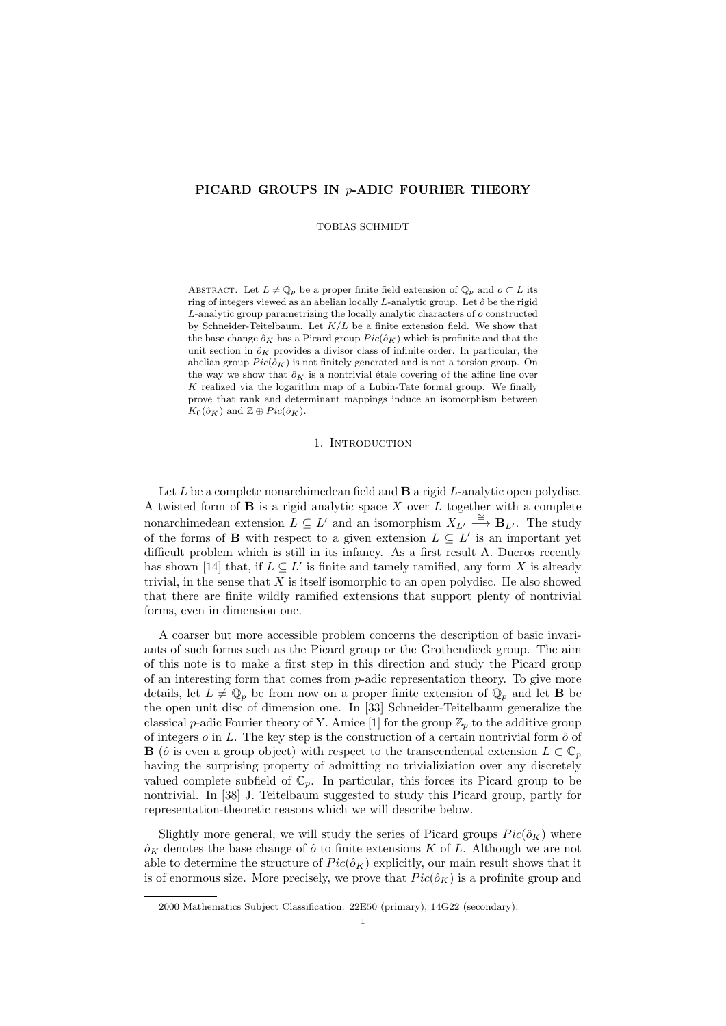# PICARD GROUPS IN p-ADIC FOURIER THEORY

TOBIAS SCHMIDT

ABSTRACT. Let  $L \neq \mathbb{Q}_p$  be a proper finite field extension of  $\mathbb{Q}_p$  and  $o \subset L$  its ring of integers viewed as an abelian locally  $L$ -analytic group. Let  $\hat{o}$  be the rigid L-analytic group parametrizing the locally analytic characters of o constructed by Schneider-Teitelbaum. Let  $K/L$  be a finite extension field. We show that the base change  $\hat{o}_K$  has a Picard group  $Pic(\hat{o}_K)$  which is profinite and that the unit section in  $\hat{o}_K$  provides a divisor class of infinite order. In particular, the abelian group  $Pic(\hat{o}_K)$  is not finitely generated and is not a torsion group. On the way we show that  $\hat{o}_K$  is a nontrivial étale covering of the affine line over K realized via the logarithm map of a Lubin-Tate formal group. We finally prove that rank and determinant mappings induce an isomorphism between  $K_0(\hat{o}_K)$  and  $\mathbb{Z} \oplus Pic(\hat{o}_K)$ .

#### 1. INTRODUCTION

Let  $L$  be a complete nonarchimedean field and  $\bf{B}$  a rigid  $L$ -analytic open polydisc. A twisted form of  $B$  is a rigid analytic space  $X$  over  $L$  together with a complete nonarchimedean extension  $L \subseteq L'$  and an isomorphism  $X_{L'} \stackrel{\cong}{\longrightarrow} \mathbf{B}_{L'}$ . The study of the forms of **B** with respect to a given extension  $L \subseteq L'$  is an important yet difficult problem which is still in its infancy. As a first result A. Ducros recently has shown [14] that, if  $L \subseteq L'$  is finite and tamely ramified, any form X is already trivial, in the sense that  $X$  is itself isomorphic to an open polydisc. He also showed that there are finite wildly ramified extensions that support plenty of nontrivial forms, even in dimension one.

A coarser but more accessible problem concerns the description of basic invariants of such forms such as the Picard group or the Grothendieck group. The aim of this note is to make a first step in this direction and study the Picard group of an interesting form that comes from  $p$ -adic representation theory. To give more details, let  $L \neq \mathbb{Q}_p$  be from now on a proper finite extension of  $\mathbb{Q}_p$  and let **B** be the open unit disc of dimension one. In [33] Schneider-Teitelbaum generalize the classical p-adic Fourier theory of Y. Amice [1] for the group  $\mathbb{Z}_p$  to the additive group of integers  $o$  in L. The key step is the construction of a certain nontrivial form  $\hat{o}$  of **B** ( $\hat{o}$  is even a group object) with respect to the transcendental extension  $L \subset \mathbb{C}_p$ having the surprising property of admitting no trivializiation over any discretely valued complete subfield of  $\mathbb{C}_p$ . In particular, this forces its Picard group to be nontrivial. In [38] J. Teitelbaum suggested to study this Picard group, partly for representation-theoretic reasons which we will describe below.

Slightly more general, we will study the series of Picard groups  $Pic(\hat{o}_{K})$  where  $\hat{\rho}_K$  denotes the base change of  $\hat{\rho}$  to finite extensions K of L. Although we are not able to determine the structure of  $Pic(\hat{o}_K)$  explicitly, our main result shows that it is of enormous size. More precisely, we prove that  $Pic(\hat{o}_K)$  is a profinite group and

<sup>2000</sup> Mathematics Subject Classification: 22E50 (primary), 14G22 (secondary).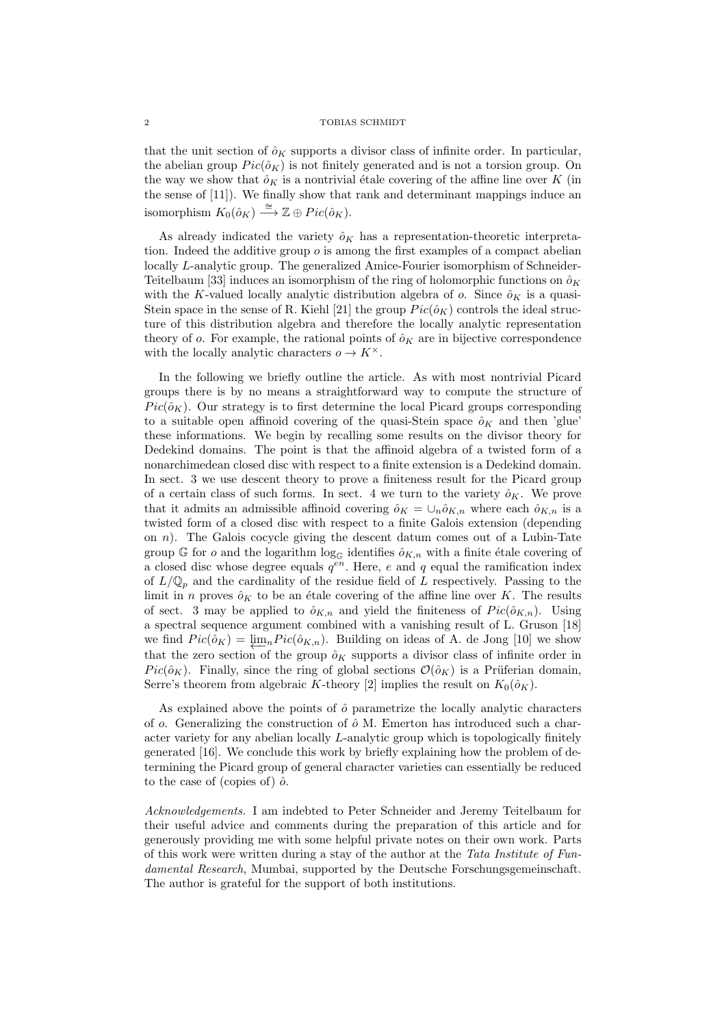that the unit section of  $\hat{o}_K$  supports a divisor class of infinite order. In particular, the abelian group  $Pic(\hat{o}_K)$  is not finitely generated and is not a torsion group. On the way we show that  $\hat{o}_K$  is a nontrivial étale covering of the affine line over K (in the sense of [11]). We finally show that rank and determinant mappings induce an isomorphism  $K_0(\hat{o}_K) \stackrel{\cong}{\longrightarrow} \mathbb{Z} \oplus Pic(\hat{o}_K)$ .

As already indicated the variety  $\hat{o}_K$  has a representation-theoretic interpretation. Indeed the additive group  $\rho$  is among the first examples of a compact abelian locally L-analytic group. The generalized Amice-Fourier isomorphism of Schneider-Teitelbaum [33] induces an isomorphism of the ring of holomorphic functions on  $\hat{\rho}_K$ with the K-valued locally analytic distribution algebra of  $o$ . Since  $\delta_K$  is a quasi-Stein space in the sense of R. Kiehl [21] the group  $Pic(\hat{o}_K)$  controls the ideal structure of this distribution algebra and therefore the locally analytic representation theory of  $o$ . For example, the rational points of  $\hat{o}_K$  are in bijective correspondence with the locally analytic characters  $o \to K^{\times}$ .

In the following we briefly outline the article. As with most nontrivial Picard groups there is by no means a straightforward way to compute the structure of  $Pic(\hat{\rho}_K)$ . Our strategy is to first determine the local Picard groups corresponding to a suitable open affinoid covering of the quasi-Stein space  $\hat{o}_K$  and then 'glue' these informations. We begin by recalling some results on the divisor theory for Dedekind domains. The point is that the affinoid algebra of a twisted form of a nonarchimedean closed disc with respect to a finite extension is a Dedekind domain. In sect. 3 we use descent theory to prove a finiteness result for the Picard group of a certain class of such forms. In sect. 4 we turn to the variety  $\hat{o}_K$ . We prove that it admits an admissible affinoid covering  $\hat{o}_K = \cup_n \hat{o}_{K,n}$  where each  $\hat{o}_{K,n}$  is a twisted form of a closed disc with respect to a finite Galois extension (depending on  $n$ ). The Galois cocycle giving the descent datum comes out of a Lubin-Tate group G for o and the logarithm  $\log_{\mathbb{G}}$  identifies  $\hat{o}_{K,n}$  with a finite étale covering of a closed disc whose degree equals  $q^{en}$ . Here, e and q equal the ramification index of  $L/\mathbb{Q}_p$  and the cardinality of the residue field of L respectively. Passing to the limit in n proves  $\hat{o}_K$  to be an étale covering of the affine line over K. The results of sect. 3 may be applied to  $\hat{o}_{K,n}$  and yield the finiteness of  $Pic(\hat{o}_{K,n})$ . Using a spectral sequence argument combined with a vanishing result of L. Gruson [18] we find  $Pic(\hat{o}_K) = \lim_n Pic(\hat{o}_{K,n})$ . Building on ideas of A. de Jong [10] we show that the zero section of the group  $\hat{o}_K$  supports a divisor class of infinite order in  $Pic(\hat{o}_K)$ . Finally, since the ring of global sections  $\mathcal{O}(\hat{o}_K)$  is a Prüferian domain, Serre's theorem from algebraic K-theory [2] implies the result on  $K_0(\hat{o}_K)$ .

As explained above the points of  $\hat{o}$  parametrize the locally analytic characters of o. Generalizing the construction of  $\hat{\rho}$  M. Emerton has introduced such a character variety for any abelian locally L-analytic group which is topologically finitely generated [16]. We conclude this work by briefly explaining how the problem of determining the Picard group of general character varieties can essentially be reduced to the case of (copies of)  $\hat{o}$ .

Acknowledgements. I am indebted to Peter Schneider and Jeremy Teitelbaum for their useful advice and comments during the preparation of this article and for generously providing me with some helpful private notes on their own work. Parts of this work were written during a stay of the author at the Tata Institute of Fundamental Research, Mumbai, supported by the Deutsche Forschungsgemeinschaft. The author is grateful for the support of both institutions.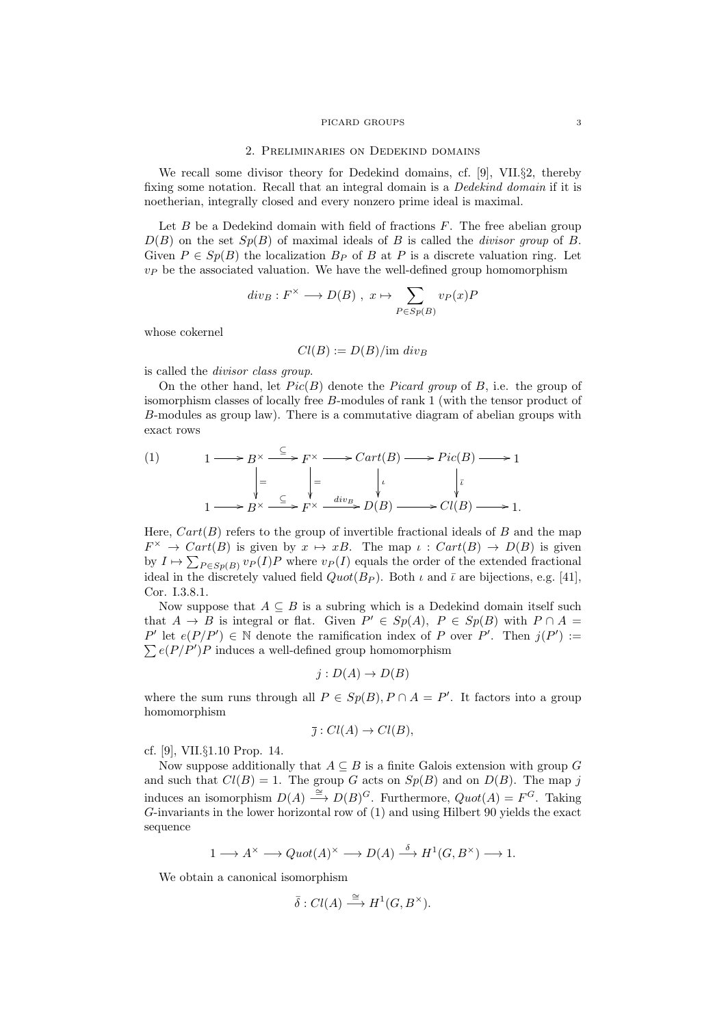#### 2. Preliminaries on Dedekind domains

We recall some divisor theory for Dedekind domains, cf. [9], VII.§2, thereby fixing some notation. Recall that an integral domain is a Dedekind domain if it is noetherian, integrally closed and every nonzero prime ideal is maximal.

Let  $B$  be a Dedekind domain with field of fractions  $F$ . The free abelian group  $D(B)$  on the set  $Sp(B)$  of maximal ideals of B is called the *divisor group* of B. Given  $P \in Sp(B)$  the localization  $B_P$  of B at P is a discrete valuation ring. Let  $v_P$  be the associated valuation. We have the well-defined group homomorphism

$$
div_B: F^{\times} \longrightarrow D(B)
$$
,  $x \mapsto \sum_{P \in Sp(B)} v_P(x)P$ 

whose cokernel

$$
Cl(B) := D(B)/\text{im div}_B
$$

is called the divisor class group.

On the other hand, let  $Pic(B)$  denote the *Picard group* of B, i.e. the group of isomorphism classes of locally free B-modules of rank 1 (with the tensor product of B-modules as group law). There is a commutative diagram of abelian groups with exact rows

(1) 
$$
1 \longrightarrow B^{\times} \xrightarrow{\subseteq} F^{\times} \longrightarrow Cart(B) \longrightarrow Pic(B) \longrightarrow 1
$$

$$
\Big| = \bigcup_{\begin{subarray}{c} \downarrow \\ 1 \longrightarrow B^{\times} \xrightarrow{\subseteq} F^{\times} \xrightarrow{div_{B}} D(B) \longrightarrow CL(B) \longrightarrow 1. \end{subarray}}
$$

Here,  $Cart(B)$  refers to the group of invertible fractional ideals of B and the map  $F^{\times} \to Cart(B)$  is given by  $x \mapsto xB$ . The map  $\iota: Cart(B) \to D(B)$  is given by  $I \mapsto \sum_{P \in Sp(B)} v_P(I)P$  where  $v_P(I)$  equals the order of the extended fractional ideal in the discretely valued field  $Quot(B_P)$ . Both  $\iota$  and  $\bar{\iota}$  are bijections, e.g. [41], Cor. I.3.8.1.

Now suppose that  $A \subseteq B$  is a subring which is a Dedekind domain itself such that  $A \to B$  is integral or flat. Given  $P' \in Sp(A)$ ,  $P \in Sp(B)$  with  $P \cap A =$ P' let  $e(P/P') \in \mathbb{N}$  denote the ramification index of P over P'. Then  $j(P') :=$  $\sum e(P/P')P$  induces a well-defined group homomorphism

$$
j: D(A) \to D(B)
$$

where the sum runs through all  $P \in Sp(B), P \cap A = P'$ . It factors into a group homomorphism

$$
\bar{\jmath}: Cl(A) \to Cl(B),
$$

cf. [9], VII.§1.10 Prop. 14.

Now suppose additionally that  $A \subseteq B$  is a finite Galois extension with group G and such that  $Cl(B) = 1$ . The group G acts on  $Sp(B)$  and on  $D(B)$ . The map j induces an isomorphism  $D(A) \stackrel{\cong}{\longrightarrow} D(B)^G$ . Furthermore,  $Quot(A) = F^G$ . Taking G-invariants in the lower horizontal row of (1) and using Hilbert 90 yields the exact sequence

$$
1 \longrightarrow A^{\times} \longrightarrow Quot(A)^{\times} \longrightarrow D(A) \stackrel{\delta}{\longrightarrow} H^{1}(G, B^{\times}) \longrightarrow 1.
$$

We obtain a canonical isomorphism

$$
\bar{\delta}: Cl(A) \stackrel{\cong}{\longrightarrow} H^1(G, B^{\times}).
$$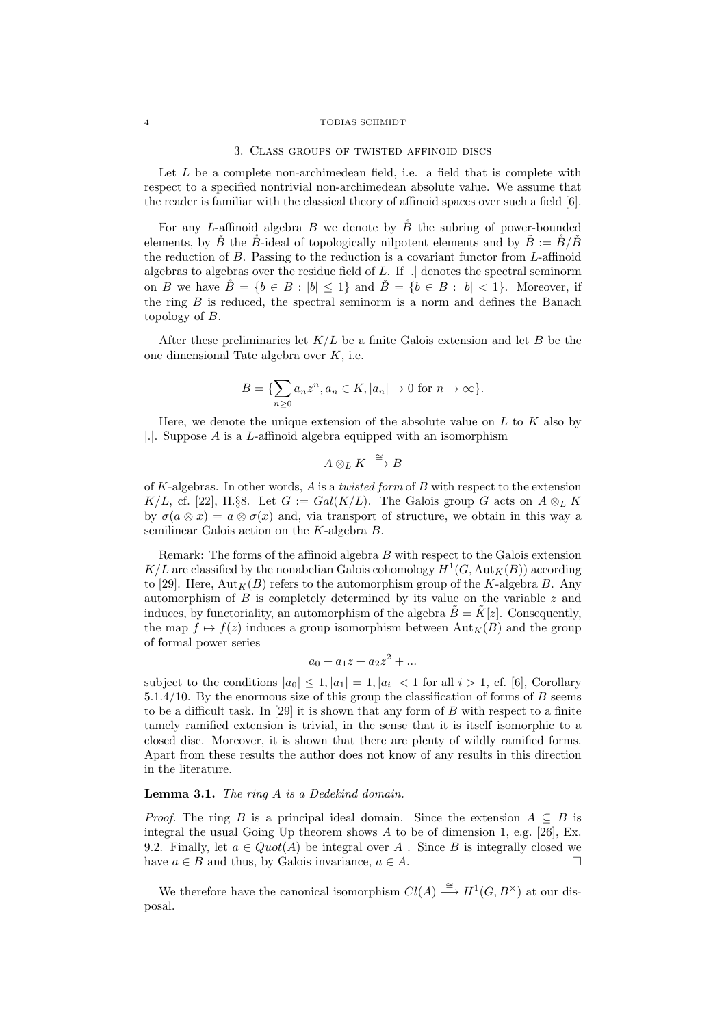#### 3. Class groups of twisted affinoid discs

Let  $L$  be a complete non-archimedean field, i.e. a field that is complete with respect to a specified nontrivial non-archimedean absolute value. We assume that the reader is familiar with the classical theory of affinoid spaces over such a field [6].

For any L-affinoid algebra B we denote by  $\check{B}$  the subring of power-bounded elements, by B´ the B-ideal of topologically nilpotent elements and by  $B := B/B$ the reduction of B. Passing to the reduction is a covariant functor from L-affinoid algebras to algebras over the residue field of  $L$ . If  $|.|$  denotes the spectral seminorm on B we have  $\tilde{B} = \{b \in B : |b| \leq 1\}$  and  $\tilde{B} = \{b \in B : |b| \leq 1\}$ . Moreover, if the ring  $B$  is reduced, the spectral seminorm is a norm and defines the Banach topology of B.

After these preliminaries let  $K/L$  be a finite Galois extension and let B be the one dimensional Tate algebra over K, i.e.

$$
B = \{ \sum_{n\geq 0} a_n z^n, a_n \in K, |a_n| \to 0 \text{ for } n \to \infty \}.
$$

Here, we denote the unique extension of the absolute value on  $L$  to  $K$  also by |.|. Suppose A is a L-affinoid algebra equipped with an isomorphism

$$
A\otimes_L K\stackrel{\cong}{\longrightarrow} B
$$

of K-algebras. In other words, A is a twisted form of B with respect to the extension K/L, cf. [22], II.§8. Let  $G := Gal(K/L)$ . The Galois group G acts on  $A \otimes_L K$ by  $\sigma(a \otimes x) = a \otimes \sigma(x)$  and, via transport of structure, we obtain in this way a semilinear Galois action on the K-algebra B.

Remark: The forms of the affinoid algebra  $B$  with respect to the Galois extension  $K/L$  are classified by the nonabelian Galois cohomology  $H^1(G,\text{Aut}_K(B))$  according to [29]. Here,  $\text{Aut}_K(B)$  refers to the automorphism group of the K-algebra B. Any automorphism of B is completely determined by its value on the variable z and induces, by functoriality, an automorphism of the algebra  $\vec{B} = \vec{K}[z]$ . Consequently, the map  $f \mapsto f(z)$  induces a group isomorphism between  $\text{Aut}_K(B)$  and the group of formal power series

$$
a_0 + a_1 z + a_2 z^2 + \dots
$$

subject to the conditions  $|a_0| \leq 1, |a_1| = 1, |a_i| < 1$  for all  $i > 1$ , cf. [6], Corollary 5.1.4/10. By the enormous size of this group the classification of forms of  $B$  seems to be a difficult task. In  $[29]$  it is shown that any form of B with respect to a finite tamely ramified extension is trivial, in the sense that it is itself isomorphic to a closed disc. Moreover, it is shown that there are plenty of wildly ramified forms. Apart from these results the author does not know of any results in this direction in the literature.

## Lemma 3.1. The ring A is a Dedekind domain.

*Proof.* The ring B is a principal ideal domain. Since the extension  $A \subseteq B$  is integral the usual Going Up theorem shows A to be of dimension 1, e.g. [26], Ex. 9.2. Finally, let  $a \in Quot(A)$  be integral over A. Since B is integrally closed we have  $a \in B$  and thus, by Galois invariance,  $a \in A$ .

We therefore have the canonical isomorphism  $Cl(A) \stackrel{\cong}{\longrightarrow} H^1(G, B^{\times})$  at our disposal.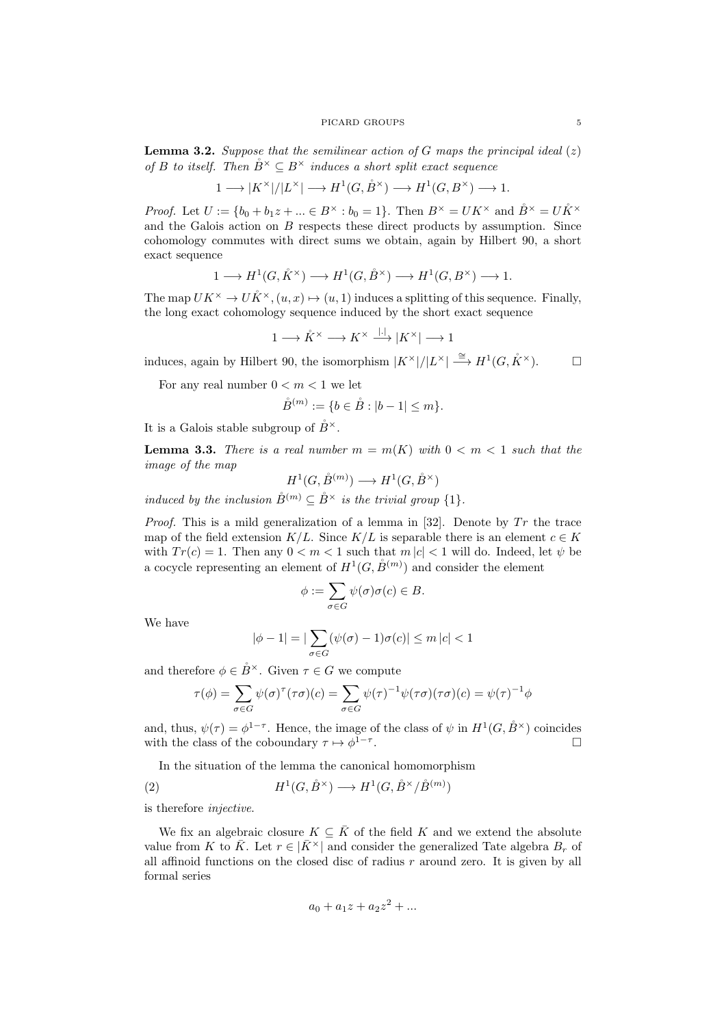**Lemma 3.2.** Suppose that the semilinear action of G maps the principal ideal  $(z)$ of B to itself. Then  $\mathring{B}^{\times} \subseteq B^{\times}$  induces a short split exact sequence

$$
1\longrightarrow |K^\times|/|L^\times|\longrightarrow H^1(G,\mathring{B}^\times)\longrightarrow H^1(G,B^\times)\longrightarrow 1.
$$

*Proof.* Let  $U := \{b_0 + b_1 z + ... \in B^\times : b_0 = 1\}$ . Then  $B^\times = UK^\times$  and  $\mathring{B}^\times = U\mathring{K}^\times$ and the Galois action on  $B$  respects these direct products by assumption. Since cohomology commutes with direct sums we obtain, again by Hilbert 90, a short exact sequence

$$
1 \longrightarrow H^1(G, \mathring{K}^{\times}) \longrightarrow H^1(G, \mathring{B}^{\times}) \longrightarrow H^1(G, B^{\times}) \longrightarrow 1.
$$

The map  $UK^{\times} \to U\check{K}^{\times}$ ,  $(u, x) \mapsto (u, 1)$  induces a splitting of this sequence. Finally, the long exact cohomology sequence induced by the short exact sequence

$$
1 \longrightarrow \mathring{K}^{\times} \longrightarrow K^{\times} \xrightarrow{|.|} |K^{\times}| \longrightarrow 1
$$

induces, again by Hilbert 90, the isomorphism  $|K^{\times}|/|L^{\times}| \stackrel{\cong}{\longrightarrow} H^1(G, \mathring{K}^{\times})$ .

For any real number  $0 < m < 1$  we let

$$
\mathring{B}^{(m)} := \{ b \in \mathring{B} : |b - 1| \le m \}.
$$

It is a Galois stable subgroup of  $B^{\times}$ .

**Lemma 3.3.** There is a real number  $m = m(K)$  with  $0 < m < 1$  such that the image of the map

$$
H^1(G, \mathring{B}^{(m)}) \longrightarrow H^1(G, \mathring{B}^{\times})
$$

induced by the inclusion  $\mathring{B}^{(m)} \subseteq \mathring{B}^{\times}$  is the trivial group  $\{1\}$ .

*Proof.* This is a mild generalization of a lemma in [32]. Denote by  $Tr$  the trace map of the field extension  $K/L$ . Since  $K/L$  is separable there is an element  $c \in K$ with  $Tr(c) = 1$ . Then any  $0 < m < 1$  such that  $m |c| < 1$  will do. Indeed, let  $\psi$  be a cocycle representing an element of  $H^1(G, \overset{\circ}{B}(m))$  and consider the element

$$
\phi := \sum_{\sigma \in G} \psi(\sigma) \sigma(c) \in B.
$$

We have

$$
|\phi - 1| = |\sum_{\sigma \in G} (\psi(\sigma) - 1)\sigma(c)| \le m |c| < 1
$$

and therefore  $\phi \in \check{B}^{\times}$ . Given  $\tau \in G$  we compute

$$
\tau(\phi) = \sum_{\sigma \in G} \psi(\sigma)^{\tau}(\tau \sigma)(c) = \sum_{\sigma \in G} \psi(\tau)^{-1} \psi(\tau \sigma)(\tau \sigma)(c) = \psi(\tau)^{-1} \phi
$$

and, thus,  $\psi(\tau) = \phi^{1-\tau}$ . Hence, the image of the class of  $\psi$  in  $H^1(G, \overset{\circ}{B}{}^\times)$  coincides with the class of the coboundary  $\tau \mapsto \phi^{1-\tau}$ .

In the situation of the lemma the canonical homomorphism

(2) 
$$
H^1(G, \overset{\circ}{B}{}^\times) \longrightarrow H^1(G, \overset{\circ}{B}{}^\times/\overset{\circ}{B}{}^{(m)})
$$

is therefore injective.

We fix an algebraic closure  $K \subseteq \overline{K}$  of the field K and we extend the absolute value from K to  $\bar{K}$ . Let  $r \in |\bar{K}^{\times}|$  and consider the generalized Tate algebra  $B_r$  of all affinoid functions on the closed disc of radius r around zero. It is given by all formal series

$$
a_0 + a_1 z + a_2 z^2 + \dots
$$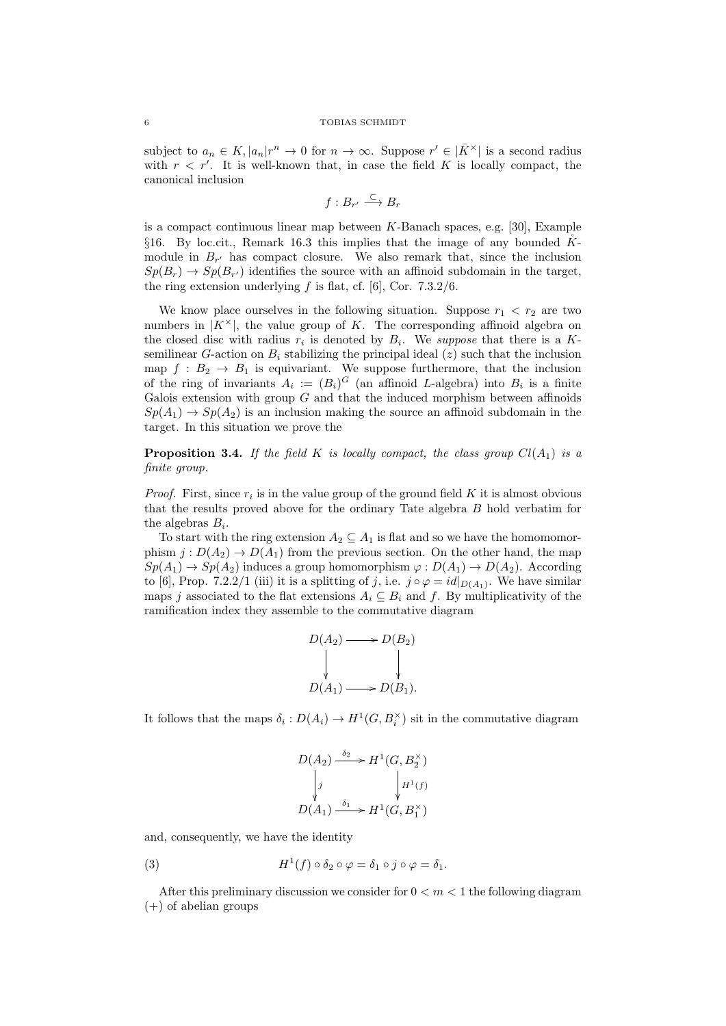subject to  $a_n \in K$ ,  $|a_n|r^n \to 0$  for  $n \to \infty$ . Suppose  $r' \in |\overline{K}^{\times}|$  is a second radius with  $r < r'$ . It is well-known that, in case the field K is locally compact, the canonical inclusion

$$
f:B_{r'}\stackrel{\subset}{\longrightarrow} B_r
$$

is a compact continuous linear map between K-Banach spaces, e.g. [30], Example §16. By loc.cit., Remark 16.3 this implies that the image of any bounded K˚ module in  $B_{r'}$  has compact closure. We also remark that, since the inclusion  $Sp(B_r) \to Sp(B_{r'})$  identifies the source with an affinoid subdomain in the target, the ring extension underlying  $f$  is flat, cf. [6], Cor. 7.3.2/6.

We know place ourselves in the following situation. Suppose  $r_1 < r_2$  are two numbers in  $|K^{\times}|$ , the value group of K. The corresponding affinoid algebra on the closed disc with radius  $r_i$  is denoted by  $B_i$ . We suppose that there is a Ksemilinear G-action on  $B_i$  stabilizing the principal ideal (z) such that the inclusion map  $f : B_2 \to B_1$  is equivariant. We suppose furthermore, that the inclusion of the ring of invariants  $A_i := (B_i)^G$  (an affinoid L-algebra) into  $B_i$  is a finite Galois extension with group  $G$  and that the induced morphism between affinoids  $Sp(A_1) \to Sp(A_2)$  is an inclusion making the source an affinoid subdomain in the target. In this situation we prove the

**Proposition 3.4.** If the field K is locally compact, the class group  $Cl(A_1)$  is a finite group.

*Proof.* First, since  $r_i$  is in the value group of the ground field K it is almost obvious that the results proved above for the ordinary Tate algebra B hold verbatim for the algebras  $B_i$ .

To start with the ring extension  $A_2 \subseteq A_1$  is flat and so we have the homomomorphism  $j: D(A_2) \to D(A_1)$  from the previous section. On the other hand, the map  $Sp(A_1) \to Sp(A_2)$  induces a group homomorphism  $\varphi: D(A_1) \to D(A_2)$ . According to [6], Prop. 7.2.2/1 (iii) it is a splitting of j, i.e.  $j \circ \varphi = id|_{D(A_1)}$ . We have similar maps j associated to the flat extensions  $A_i \subseteq B_i$  and f. By multiplicativity of the ramification index they assemble to the commutative diagram

$$
D(A_2) \longrightarrow D(B_2)
$$
  
\n
$$
\downarrow \qquad \qquad \downarrow
$$
  
\n
$$
D(A_1) \longrightarrow D(B_1).
$$

It follows that the maps  $\delta_i: D(A_i) \to H^1(G, B_i^{\times})$  sit in the commutative diagram

$$
D(A_2) \xrightarrow{\delta_2} H^1(G, B_2^{\times})
$$
  
\n
$$
\downarrow j
$$
  
\n
$$
D(A_1) \xrightarrow{\delta_1} H^1(G, B_1^{\times})
$$

and, consequently, we have the identity

(3) 
$$
H^1(f) \circ \delta_2 \circ \varphi = \delta_1 \circ j \circ \varphi = \delta_1.
$$

After this preliminary discussion we consider for  $0 < m < 1$  the following diagram  $(+)$  of abelian groups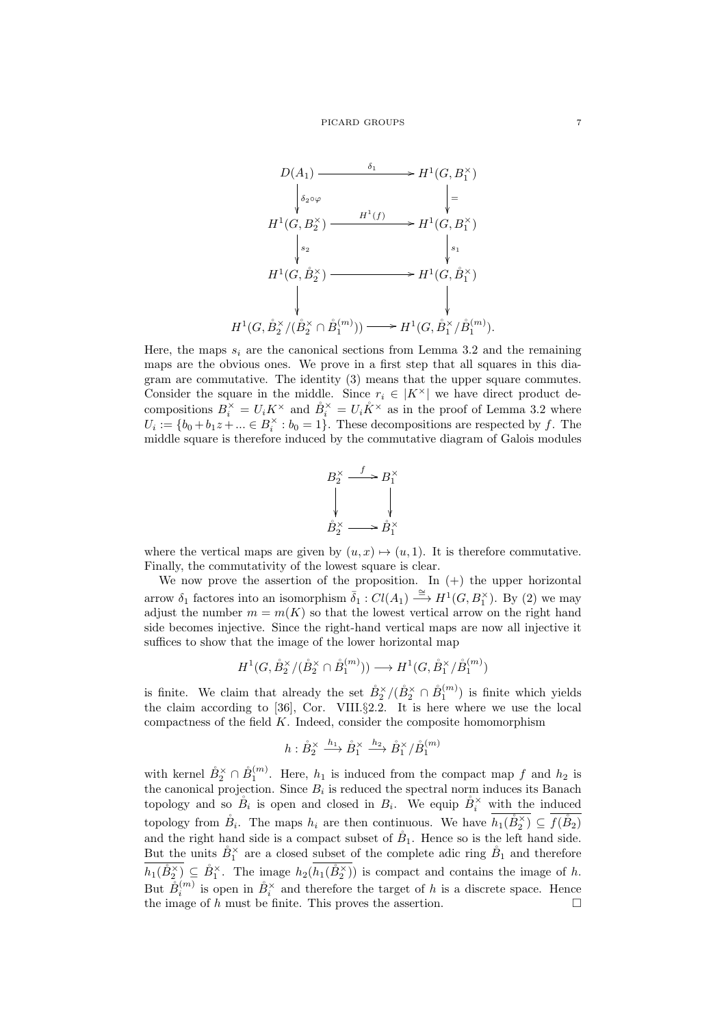

Here, the maps  $s_i$  are the canonical sections from Lemma 3.2 and the remaining maps are the obvious ones. We prove in a first step that all squares in this diagram are commutative. The identity (3) means that the upper square commutes. Consider the square in the middle. Since  $r_i \in |K^\times|$  we have direct product decompositions  $B_i^{\times} = U_i K^{\times}$  and  $\mathring{B}_i^{\times} = U_i \mathring{K}^{\times}$  as in the proof of Lemma 3.2 where  $U_i := \{b_0 + b_1 z + \ldots \in B_i^{\times} : b_0 = 1\}.$  These decompositions are respected by f. The middle square is therefore induced by the commutative diagram of Galois modules



where the vertical maps are given by  $(u, x) \mapsto (u, 1)$ . It is therefore commutative. Finally, the commutativity of the lowest square is clear.

We now prove the assertion of the proposition. In  $(+)$  the upper horizontal arrow  $\delta_1$  factores into an isomorphism  $\overline{\delta}_1 : Cl(A_1) \stackrel{\cong}{\longrightarrow} H^1(G, B_1^{\times}).$  By (2) we may adjust the number  $m = m(K)$  so that the lowest vertical arrow on the right hand side becomes injective. Since the right-hand vertical maps are now all injective it suffices to show that the image of the lower horizontal map

$$
H^1(G, \mathring{B}_2^{\times}/(\mathring{B}_2^{\times} \cap \mathring{B}_1^{(m)})) \longrightarrow H^1(G, \mathring{B}_1^{\times}/\mathring{B}_1^{(m)})
$$

is finite. We claim that already the set  $\mathring{B}_2^{\times}/(\mathring{B}_2^{\times} \cap \mathring{B}_1^{(m)})$  is finite which yields the claim according to [36], Cor. VIII.§2.2. It is here where we use the local compactness of the field  $K$ . Indeed, consider the composite homomorphism

$$
h: \mathring{B}_2^\times \xrightarrow{h_1} \mathring{B}_1^\times \xrightarrow{h_2} \mathring{B}_1^\times / \mathring{B}_1^{(m)}
$$

with kernel  $\mathring{B}_2^{\times} \cap \mathring{B}_1^{(m)}$ . Here,  $h_1$  is induced from the compact map f and  $h_2$  is the canonical projection. Since  $B_i$  is reduced the spectral norm induces its Banach topology and so  $\mathring{B}_i$  is open and closed in  $B_i$ . We equip  $\mathring{B}_i^{\times}$  with the induced topology from  $\mathring{B}_i$ . The maps  $h_i$  are then continuous. We have  $h_1(\mathring{B}_2^{\times}) \subseteq f(\mathring{B}_2)$ and the right hand side is a compact subset of  $\mathring{B}_1$ . Hence so is the left hand side. But the units  $\mathring{B}_1^{\times}$  are a closed subset of the complete adic ring  $\mathring{B}_1$  and therefore  $h_1(\mathring{B}_2^{\times}) \subseteq \mathring{B}_1^{\times}$ . The image  $h_2(h_1(\mathring{B}_2^{\times}))$  is compact and contains the image of h. But  $\mathring{B}_i^{(m)}$  is open in  $\mathring{B}_i^{\times}$  and therefore the target of h is a discrete space. Hence the image of h must be finite. This proves the assertion.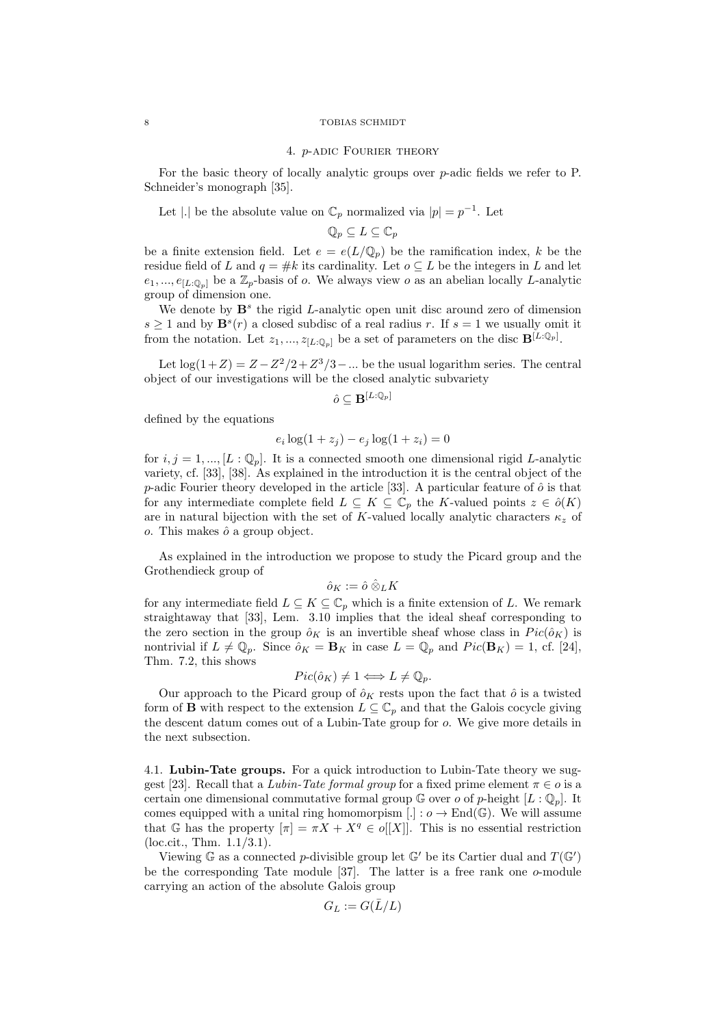### 4. p-adic Fourier theory

For the basic theory of locally analytic groups over  $p$ -adic fields we refer to P. Schneider's monograph [35].

Let |.| be the absolute value on  $\mathbb{C}_p$  normalized via  $|p| = p^{-1}$ . Let

$$
\mathbb{Q}_p\subseteq L\subseteq\mathbb{C}_p
$$

be a finite extension field. Let  $e = e(L/\mathbb{Q}_p)$  be the ramification index, k be the residue field of L and  $q = #k$  its cardinality. Let  $o \subseteq L$  be the integers in L and let  $e_1, ..., e_{[L:\mathbb{Q}_p]}$  be a  $\mathbb{Z}_p$ -basis of o. We always view o as an abelian locally L-analytic group of dimension one.

We denote by  $\mathbf{B}^s$  the rigid *L*-analytic open unit disc around zero of dimension  $s \geq 1$  and by  $\mathbf{B}^s(r)$  a closed subdisc of a real radius r. If  $s = 1$  we usually omit it from the notation. Let  $z_1, ..., z_{[L:\mathbb{Q}_p]}$  be a set of parameters on the disc  $\mathbf{B}^{[L:\mathbb{Q}_p]}$ .

Let  $\log(1+Z) = Z - Z^2/2 + Z^3/3 - \dots$  be the usual logarithm series. The central object of our investigations will be the closed analytic subvariety

$$
\hat{o} \subseteq \mathbf{B}^{[L:\mathbb{Q}_p]}
$$

defined by the equations

$$
e_i \log(1 + z_j) - e_j \log(1 + z_i) = 0
$$

for  $i, j = 1, ..., [L : \mathbb{Q}_p]$ . It is a connected smooth one dimensional rigid L-analytic variety, cf. [33], [38]. As explained in the introduction it is the central object of the p-adic Fourier theory developed in the article [33]. A particular feature of  $\hat{o}$  is that for any intermediate complete field  $L \subseteq K \subseteq \mathbb{C}_p$  the K-valued points  $z \in \hat{o}(K)$ are in natural bijection with the set of K-valued locally analytic characters  $\kappa_z$  of  $o$ . This makes  $\hat{o}$  a group object.

As explained in the introduction we propose to study the Picard group and the Grothendieck group of

$$
\hat{o}_K:=\hat{o}\mathbin{\hat{\otimes}}_L K
$$

for any intermediate field  $L \subseteq K \subseteq \mathbb{C}_p$  which is a finite extension of L. We remark straightaway that [33], Lem. 3.10 implies that the ideal sheaf corresponding to the zero section in the group  $\hat{o}_K$  is an invertible sheaf whose class in  $Pic(\hat{o}_K)$  is nontrivial if  $L \neq \mathbb{Q}_p$ . Since  $\hat{o}_K = \mathbf{B}_K$  in case  $L = \mathbb{Q}_p$  and  $Pic(\mathbf{B}_K) = 1$ , cf. [24], Thm. 7.2, this shows

$$
Pic(\hat{o}_K) \neq 1 \Longleftrightarrow L \neq \mathbb{Q}_p.
$$

Our approach to the Picard group of  $\hat{o}_K$  rests upon the fact that  $\hat{o}$  is a twisted form of **B** with respect to the extension  $L \subseteq \mathbb{C}_p$  and that the Galois cocycle giving the descent datum comes out of a Lubin-Tate group for o. We give more details in the next subsection.

4.1. Lubin-Tate groups. For a quick introduction to Lubin-Tate theory we suggest [23]. Recall that a Lubin-Tate formal group for a fixed prime element  $\pi \in \mathfrak{o}$  is a certain one dimensional commutative formal group  $\mathbb G$  over  $o$  of p-height  $[L:\mathbb Q_p]$ . It comes equipped with a unital ring homomorpism  $[.] : o \rightarrow End(\mathbb{G})$ . We will assume that G has the property  $[\pi] = \pi X + X^q \in o[[X]]$ . This is no essential restriction (loc.cit., Thm. 1.1/3.1).

Viewing  $\mathbb{G}$  as a connected p-divisible group let  $\mathbb{G}'$  be its Cartier dual and  $T(\mathbb{G}')$ be the corresponding Tate module  $[37]$ . The latter is a free rank one  $o$ -module carrying an action of the absolute Galois group

$$
G_L:=G(\bar{L}/L)
$$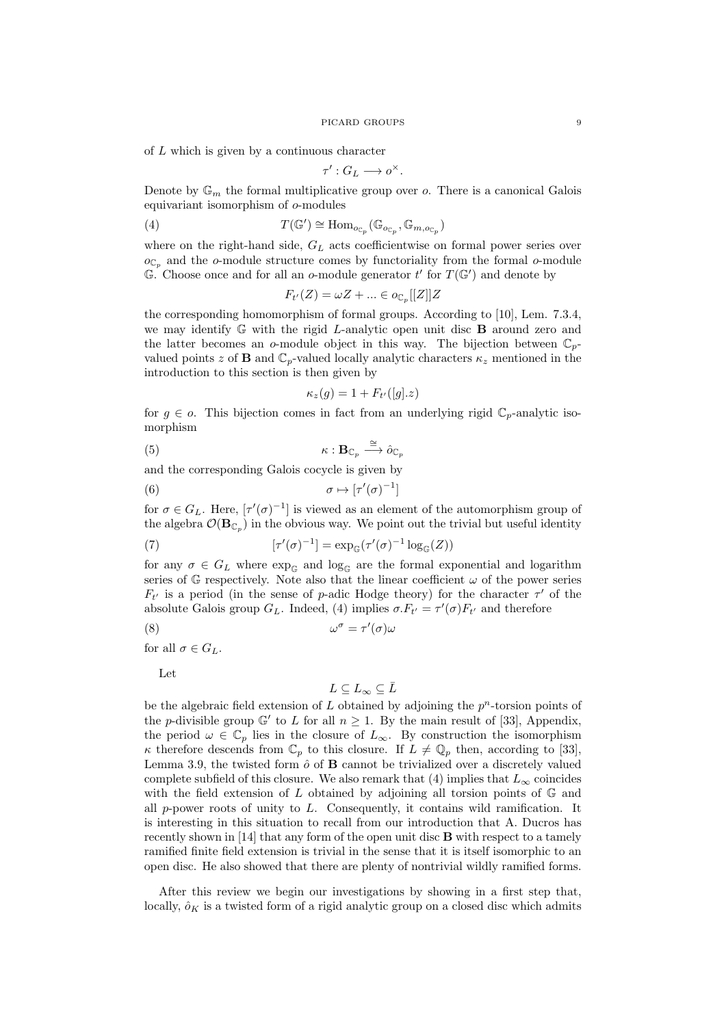of L which is given by a continuous character

$$
\tau': G_L \longrightarrow o^{\times}.
$$

Denote by  $\mathbb{G}_m$  the formal multiplicative group over o. There is a canonical Galois equivariant isomorphism of o-modules

(4) 
$$
T(\mathbb{G}') \cong \text{Hom}_{o_{\mathbb{C}_p}}(\mathbb{G}_{o_{\mathbb{C}_p}}, \mathbb{G}_{m, o_{\mathbb{C}_p}})
$$

where on the right-hand side,  $G_L$  acts coefficientwise on formal power series over  $o_{\mathbb{C}_p}$  and the o-module structure comes by functoriality from the formal o-module  $\mathbb{G}^{\uparrow}$  Choose once and for all an o-module generator  $t'$  for  $T(\mathbb{G}')$  and denote by

$$
F_{t'}(Z) = \omega Z + \dots \in o_{\mathbb{C}_p}[[Z]]Z
$$

the corresponding homomorphism of formal groups. According to [10], Lem. 7.3.4, we may identify  $\mathbb G$  with the rigid L-analytic open unit disc  $\mathbf B$  around zero and the latter becomes an o-module object in this way. The bijection between  $\mathbb{C}_p$ valued points z of **B** and  $\mathbb{C}_p$ -valued locally analytic characters  $\kappa_z$  mentioned in the introduction to this section is then given by

$$
\kappa_z(g) = 1 + F_{t'}([g].z)
$$

for  $g \in \mathfrak{o}$ . This bijection comes in fact from an underlying rigid  $\mathbb{C}_p$ -analytic isomorphism

$$
\kappa: \mathbf{B}_{\mathbb{C}_p} \stackrel{\cong}{\longrightarrow} \hat{o}_{\mathbb{C}_p}
$$

and the corresponding Galois cocycle is given by

$$
(6) \qquad \sigma \mapsto [\tau'(\sigma)^{-1}]
$$

for  $\sigma \in G_L$ . Here,  $[\tau'(\sigma)^{-1}]$  is viewed as an element of the automorphism group of the algebra  $\mathcal{O}(\mathbf{B}_{\mathbb{C}_p})$  in the obvious way. We point out the trivial but useful identity

(7) 
$$
[\tau'(\sigma)^{-1}] = \exp_{\mathbb{G}}(\tau'(\sigma)^{-1}\log_{\mathbb{G}}(Z))
$$

for any  $\sigma \in G_L$  where  $\exp_{\mathbb{G}}$  and  $\log_{\mathbb{G}}$  are the formal exponential and logarithm series of  $\mathbb{G}$  respectively. Note also that the linear coefficient  $\omega$  of the power series  $F_{t'}$  is a period (in the sense of p-adic Hodge theory) for the character  $\tau'$  of the absolute Galois group  $G_L$ . Indeed, (4) implies  $\sigma F_{t'} = \tau'(\sigma) F_{t'}$  and therefore

$$
\omega^{\sigma} = \tau'(\sigma)\omega
$$

for all  $\sigma \in G_L$ .

Let

$$
L\subseteq L_\infty\subseteq \bar{L}
$$

be the algebraic field extension of  $L$  obtained by adjoining the  $p<sup>n</sup>$ -torsion points of the p-divisible group  $\mathbb{G}'$  to L for all  $n \geq 1$ . By the main result of [33], Appendix, the period  $\omega \in \mathbb{C}_p$  lies in the closure of  $L_{\infty}$ . By construction the isomorphism κ therefore descends from  $\mathbb{C}_p$  to this closure. If  $L \neq \mathbb{Q}_p$  then, according to [33], Lemma 3.9, the twisted form  $\hat{o}$  of  $B$  cannot be trivialized over a discretely valued complete subfield of this closure. We also remark that (4) implies that  $L_{\infty}$  coincides with the field extension of  $L$  obtained by adjoining all torsion points of  $\mathbb{G}$  and all p-power roots of unity to L. Consequently, it contains wild ramification. It is interesting in this situation to recall from our introduction that A. Ducros has recently shown in  $[14]$  that any form of the open unit disc  $\bf{B}$  with respect to a tamely ramified finite field extension is trivial in the sense that it is itself isomorphic to an open disc. He also showed that there are plenty of nontrivial wildly ramified forms.

After this review we begin our investigations by showing in a first step that, locally,  $\delta_K$  is a twisted form of a rigid analytic group on a closed disc which admits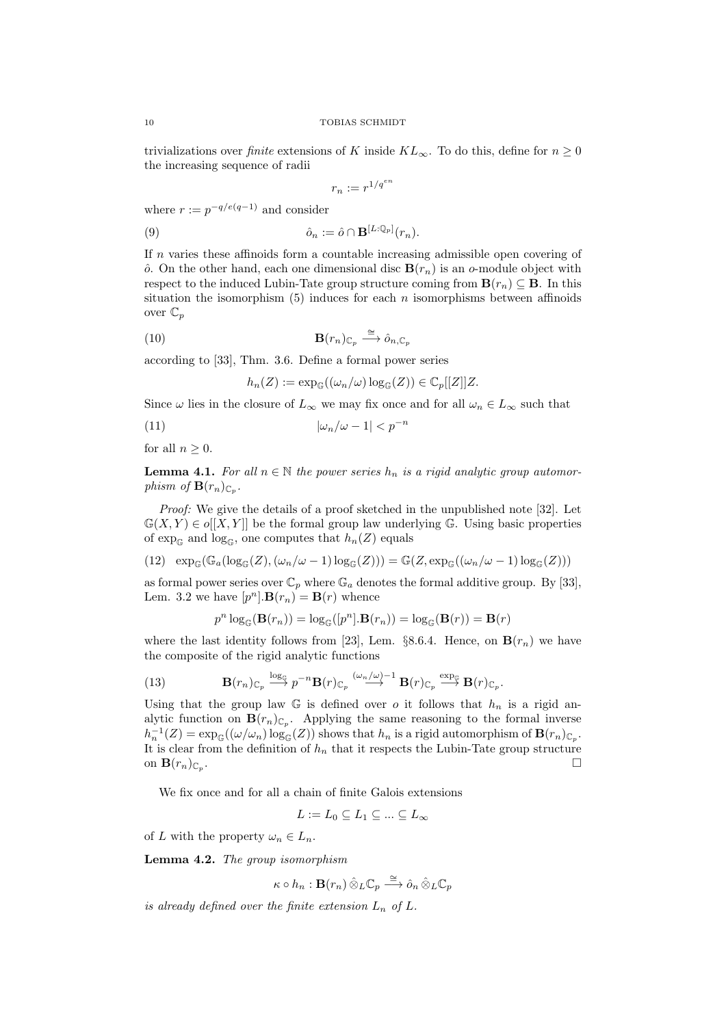trivializations over finite extensions of K inside  $KL_{\infty}$ . To do this, define for  $n \geq 0$ the increasing sequence of radii

$$
r_n := r^{1/q^{\epsilon n}}
$$

where  $r := p^{-q/e(q-1)}$  and consider

(9) 
$$
\hat{o}_n := \hat{o} \cap \mathbf{B}^{[L:\mathbb{Q}_p]}(r_n).
$$

If n varies these affinoids form a countable increasing admissible open covering of  $\hat{o}$ . On the other hand, each one dimensional disc  $\mathbf{B}(r_n)$  is an o-module object with respect to the induced Lubin-Tate group structure coming from  $\mathbf{B}(r_n) \subseteq \mathbf{B}$ . In this situation the isomorphism  $(5)$  induces for each n isomorphisms between affinoids over  $\mathbb{C}_p$ 

(10) 
$$
\mathbf{B}(r_n)_{\mathbb{C}_p} \xrightarrow{\cong} \hat{o}_{n,\mathbb{C}_p}
$$

according to [33], Thm. 3.6. Define a formal power series

 $h_n(Z) := \exp_{\mathbb{G}}((\omega_n/\omega) \log_{\mathbb{G}}(Z)) \in \mathbb{C}_p[[Z]]Z.$ 

Since  $\omega$  lies in the closure of  $L_{\infty}$  we may fix once and for all  $\omega_n \in L_{\infty}$  such that

$$
(11)\qquad \qquad |\omega_n/\omega - 1| < p^{-n}
$$

for all  $n \geq 0$ .

**Lemma 4.1.** For all  $n \in \mathbb{N}$  the power series  $h_n$  is a rigid analytic group automorphism of  $\mathbf{B}(r_n)_{\mathbb{C}_p}$ .

Proof: We give the details of a proof sketched in the unpublished note [32]. Let  $\mathbb{G}(X,Y) \in o[[X,Y]]$  be the formal group law underlying G. Using basic properties of  $\exp_{\mathbb{G}}$  and  $\log_{\mathbb{G}}$ , one computes that  $h_n(Z)$  equals

(12) 
$$
\exp_{\mathbb{G}}(\mathbb{G}_a(\log_{\mathbb{G}}(Z), (\omega_n/\omega - 1) \log_{\mathbb{G}}(Z))) = \mathbb{G}(Z, \exp_{\mathbb{G}}((\omega_n/\omega - 1) \log_{\mathbb{G}}(Z)))
$$

as formal power series over  $\mathbb{C}_p$  where  $\mathbb{G}_a$  denotes the formal additive group. By [33], Lem. 3.2 we have  $[p^n]$ .  $\mathbf{B}(r_n) = \mathbf{B}(r)$  whence

$$
p^n \log_{\mathbb{G}} (\mathbf{B}(r_n)) = \log_{\mathbb{G}}([p^n] . \mathbf{B}(r_n)) = \log_{\mathbb{G}} (\mathbf{B}(r)) = \mathbf{B}(r)
$$

where the last identity follows from [23], Lem. §8.6.4. Hence, on  $\mathbf{B}(r_n)$  we have the composite of the rigid analytic functions

(13) 
$$
\mathbf{B}(r_n)_{\mathbb{C}_p} \stackrel{\log_{\mathbb{G}}}{\longrightarrow} p^{-n} \mathbf{B}(r)_{\mathbb{C}_p} \stackrel{(\omega_n/\omega)^{-1}}{\longrightarrow} \mathbf{B}(r)_{\mathbb{C}_p} \stackrel{\exp_{\mathbb{G}}}{\longrightarrow} \mathbf{B}(r)_{\mathbb{C}_p}.
$$

Using that the group law  $\mathbb G$  is defined over o it follows that  $h_n$  is a rigid analytic function on  $\mathbf{B}(r_n)_{\mathbb{C}_p}$ . Applying the same reasoning to the formal inverse  $h_n^{-1}(Z) = \exp_{\mathbb{G}}((\omega/\omega_n) \log_{\mathbb{G}}(Z))$  shows that  $h_n$  is a rigid automorphism of  $\mathbf{B}(r_n)_{\mathbb{C}_p}$ . It is clear from the definition of  $h_n$  that it respects the Lubin-Tate group structure on  $\mathbf{B}(r_n)_{\mathbb{C}_p}$ . .

We fix once and for all a chain of finite Galois extensions

$$
L:=L_0\subseteq L_1\subseteq\ldots\subseteq L_\infty
$$

of L with the property  $\omega_n \in L_n$ .

Lemma 4.2. The group isomorphism

$$
\kappa \circ h_n : \mathbf{B}(r_n) \,\hat{\otimes}_{L} \mathbb{C}_p \xrightarrow{\cong} \hat{o}_n \,\hat{\otimes}_{L} \mathbb{C}_p
$$

is already defined over the finite extension  $L_n$  of L.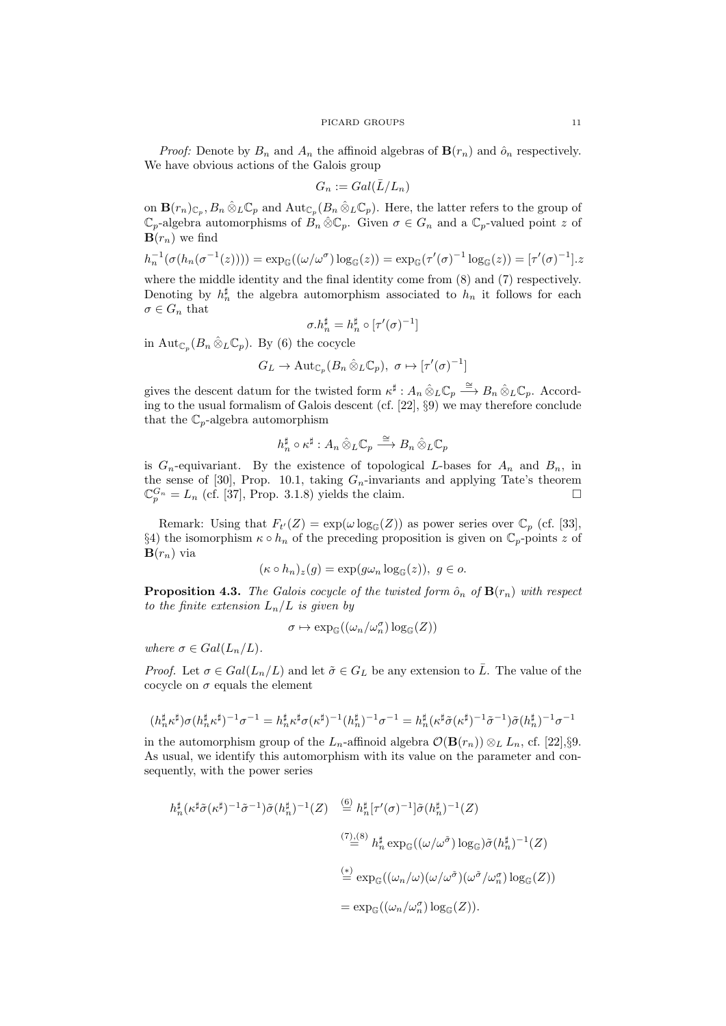*Proof:* Denote by  $B_n$  and  $A_n$  the affinoid algebras of  $\mathbf{B}(r_n)$  and  $\hat{o}_n$  respectively. We have obvious actions of the Galois group

$$
G_n := Gal(\bar{L}/L_n)
$$

on  $\mathbf{B}(r_n)_{\mathbb{C}_p}, B_n \hat{\otimes}_L \mathbb{C}_p$  and  $\mathrm{Aut}_{\mathbb{C}_p}(B_n \hat{\otimes}_L \mathbb{C}_p)$ . Here, the latter refers to the group of  $\mathbb{C}_p$ -algebra automorphisms of  $B_n \hat{\otimes} \mathbb{C}_p$ . Given  $\sigma \in G_n$  and a  $\mathbb{C}_p$ -valued point z of  $\mathbf{B}(r_n)$  we find

$$
h_n^{-1}(\sigma(h_n(\sigma^{-1}(z)))) = \exp_{\mathbb{G}}((\omega/\omega^{\sigma})\log_{\mathbb{G}}(z)) = \exp_{\mathbb{G}}(\tau'(\sigma)^{-1}\log_{\mathbb{G}}(z)) = [\tau'(\sigma)^{-1}].z
$$

where the middle identity and the final identity come from (8) and (7) respectively. Denoting by  $h_n^{\sharp}$  the algebra automorphism associated to  $h_n$  it follows for each  $\sigma \in G_n$  that

$$
\sigma.h_n^\sharp=h_n^\sharp\circ[\tau'(\sigma)^{-1}]
$$

in  $\mathrm{Aut}_{\mathbb{C}_p}(B_n \hat{\otimes}_L \mathbb{C}_p)$ . By (6) the cocycle

$$
G_L \to \mathrm{Aut}_{\mathbb{C}_p}(B_n \hat{\otimes}_L \mathbb{C}_p), \sigma \mapsto [\tau'(\sigma)^{-1}]
$$

gives the descent datum for the twisted form  $\kappa^{\sharp}: A_n \hat{\otimes}_L \mathbb{C}_p \stackrel{\cong}{\longrightarrow} B_n \hat{\otimes}_L \mathbb{C}_p$ . According to the usual formalism of Galois descent (cf. [22], §9) we may therefore conclude that the  $\mathbb{C}_p$ -algebra automorphism

$$
h_n^{\sharp} \circ \kappa^{\sharp}: A_n \hat{\otimes}_L \mathbb{C}_p \stackrel{\cong}{\longrightarrow} B_n \hat{\otimes}_L \mathbb{C}_p
$$

is  $G_n$ -equivariant. By the existence of topological L-bases for  $A_n$  and  $B_n$ , in the sense of [30], Prop. 10.1, taking  $G_n$ -invariants and applying Tate's theorem  $\mathbb{C}_p^{G_n} = L_n$  (cf. [37], Prop. 3.1.8) yields the claim.

Remark: Using that  $F_{t'}(Z) = \exp(\omega \log_{\mathbb{G}}(Z))$  as power series over  $\mathbb{C}_p$  (cf. [33], §4) the isomorphism  $\kappa \circ h_n$  of the preceding proposition is given on  $\mathbb{C}_p$ -points z of  $\mathbf{B}(r_n)$  via

$$
(\kappa \circ h_n)_z(g) = \exp(g\omega_n \log_{\mathbb{G}}(z)), \ g \in o.
$$

**Proposition 4.3.** The Galois cocycle of the twisted form  $\hat{o}_n$  of  $\mathbf{B}(r_n)$  with respect to the finite extension  $L_n/L$  is given by

$$
\sigma \mapsto \exp_{\mathbb{G}}((\omega_n/\omega_n^{\sigma})\log_{\mathbb{G}}(Z))
$$

where  $\sigma \in Gal(L_n/L)$ .

*Proof.* Let  $\sigma \in Gal(L_n/L)$  and let  $\tilde{\sigma} \in G_L$  be any extension to  $\overline{L}$ . The value of the cocycle on  $\sigma$  equals the element

$$
(h_n^{\sharp} \kappa^{\sharp}) \sigma (h_n^{\sharp} \kappa^{\sharp})^{-1} \sigma^{-1} = h_n^{\sharp} \kappa^{\sharp} \sigma (\kappa^{\sharp})^{-1} (h_n^{\sharp})^{-1} \sigma^{-1} = h_n^{\sharp} (\kappa^{\sharp} \tilde{\sigma} (\kappa^{\sharp})^{-1} \tilde{\sigma}^{-1}) \tilde{\sigma} (h_n^{\sharp})^{-1} \sigma^{-1}
$$

in the automorphism group of the  $L_n$ -affinoid algebra  $\mathcal{O}(\mathbf{B}(r_n)) \otimes_L L_n$ , cf. [22],§9. As usual, we identify this automorphism with its value on the parameter and consequently, with the power series

$$
h_n^{\sharp}(\kappa^{\sharp}\tilde{\sigma}(\kappa^{\sharp})^{-1}\tilde{\sigma}^{-1})\tilde{\sigma}(h_n^{\sharp})^{-1}(Z) \stackrel{(6)}{=} h_n^{\sharp}[\tau'(\sigma)^{-1}]\tilde{\sigma}(h_n^{\sharp})^{-1}(Z)
$$

$$
\stackrel{(7)\_6)}{=} h_n^{\sharp} \exp_{\mathbb{G}}((\omega/\omega^{\tilde{\sigma}}) \log_{\mathbb{G}})\tilde{\sigma}(h_n^{\sharp})^{-1}(Z)
$$

$$
\stackrel{(*)}{=} \exp_{\mathbb{G}}((\omega_n/\omega)(\omega/\omega^{\tilde{\sigma}})(\omega^{\tilde{\sigma}}/\omega_n^{\sigma}) \log_{\mathbb{G}}(Z))
$$

$$
= \exp_{\mathbb{G}}((\omega_n/\omega_n^{\sigma}) \log_{\mathbb{G}}(Z)).
$$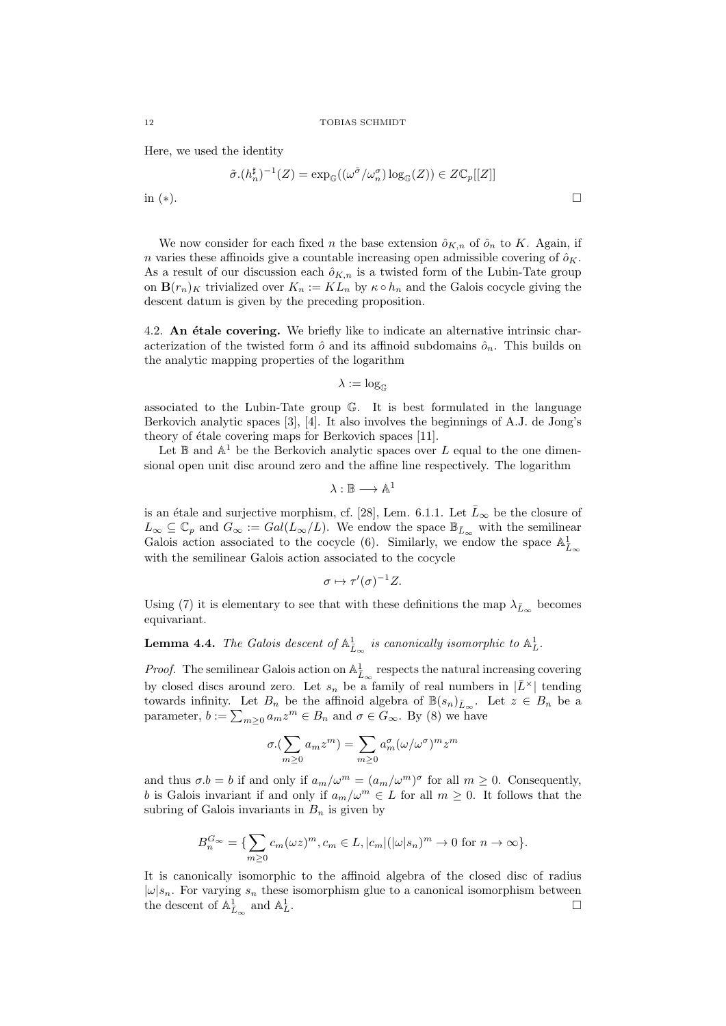Here, we used the identity

$$
\tilde{\sigma}.(h_n^{\sharp})^{-1}(Z) = \exp_{\mathbb{G}}((\omega^{\tilde{\sigma}}/\omega_n^{\sigma})\log_{\mathbb{G}}(Z)) \in Z\mathbb{C}_p[[Z]]
$$

in  $(*)$ .

We now consider for each fixed n the base extension  $\hat{o}_{K,n}$  of  $\hat{o}_n$  to K. Again, if n varies these affinoids give a countable increasing open admissible covering of  $\hat{o}_K$ . As a result of our discussion each  $\hat{\sigma}_{K,n}$  is a twisted form of the Lubin-Tate group on  $\mathbf{B}(r_n)_K$  trivialized over  $K_n := KL_n$  by  $\kappa \circ h_n$  and the Galois cocycle giving the descent datum is given by the preceding proposition.

4.2. An  $\acute{e}$  tale covering. We briefly like to indicate an alternative intrinsic characterization of the twisted form  $\hat{o}$  and its affinoid subdomains  $\hat{o}_n$ . This builds on the analytic mapping properties of the logarithm

 $\lambda := \log_{\mathcal{C}}$ 

associated to the Lubin-Tate group G. It is best formulated in the language Berkovich analytic spaces [3], [4]. It also involves the beginnings of A.J. de Jong's theory of étale covering maps for Berkovich spaces [11].

Let  $\mathbb B$  and  $\mathbb A^1$  be the Berkovich analytic spaces over L equal to the one dimensional open unit disc around zero and the affine line respectively. The logarithm

$$
\lambda:\mathbb{B}\longrightarrow \mathbb{A}^1
$$

is an étale and surjective morphism, cf. [28], Lem. 6.1.1. Let  $\bar{L}_{\infty}$  be the closure of  $L_{\infty} \subseteq \mathbb{C}_p$  and  $G_{\infty} := Gal(L_{\infty}/L)$ . We endow the space  $\mathbb{B}_{\bar{L}_{\infty}}$  with the semilinear Galois action associated to the cocycle (6). Similarly, we endow the space  $\mathbb{A}^1_{\bar{L}_{\infty}}$ with the semilinear Galois action associated to the cocycle

$$
\sigma \mapsto \tau'(\sigma)^{-1}Z.
$$

Using (7) it is elementary to see that with these definitions the map  $\lambda_{\bar{L}_{\infty}}$  becomes equivariant.

**Lemma 4.4.** The Galois descent of  $\mathbb{A}^1_{\bar{L}_{\infty}}$  is canonically isomorphic to  $\mathbb{A}^1_L$ .

*Proof.* The semilinear Galois action on  $\mathbb{A}^1_{\bar{L}_{\infty}}$  respects the natural increasing covering by closed discs around zero. Let  $s_n$  be a family of real numbers in  $|\bar{L}^{\times}|$  tending towards infinity. Let  $B_n$  be the affinoid algebra of  $\mathbb{B}(s_n)_{\bar{L}_{\infty}}$ . Let  $z \in B_n$  be a parameter,  $b := \sum_{m \geq 0} a_m z^m \in B_n$  and  $\sigma \in G_\infty$ . By (8) we have

$$
\sigma.(\sum_{m\geq 0} a_m z^m)=\sum_{m\geq 0} a_m^{\sigma} (\omega/\omega^{\sigma})^m z^m
$$

and thus  $\sigma.b = b$  if and only if  $a_m/\omega^m = (a_m/\omega^m)^\sigma$  for all  $m \geq 0$ . Consequently, b is Galois invariant if and only if  $a_m/\omega^m \in L$  for all  $m \geq 0$ . It follows that the subring of Galois invariants in  $B_n$  is given by

$$
B_n^{G_{\infty}} = \{ \sum_{m \ge 0} c_m(\omega z)^m, c_m \in L, |c_m|(|\omega|s_n)^m \to 0 \text{ for } n \to \infty \}.
$$

It is canonically isomorphic to the affinoid algebra of the closed disc of radius  $|\omega|s_n$ . For varying  $s_n$  these isomorphism glue to a canonical isomorphism between the descent of  $\mathbb{A}^1_{\bar L_\infty}$  and  $\mathbb{A}^1_L$ .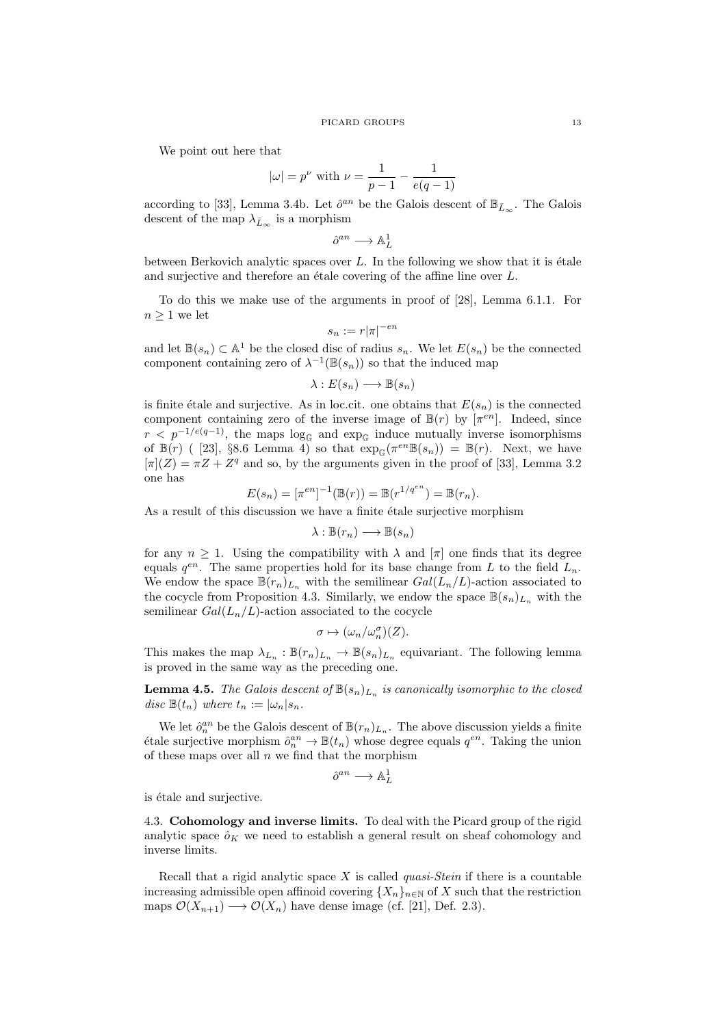We point out here that

$$
|\omega| = p^{\nu}
$$
 with  $\nu = \frac{1}{p-1} - \frac{1}{e(q-1)}$ 

according to [33], Lemma 3.4b. Let  $\hat{o}^{an}$  be the Galois descent of  $\mathbb{B}_{\bar{L}_{\infty}}$ . The Galois descent of the map  $\lambda_{\bar{L}_{\infty}}$  is a morphism

$$
\hat{o}^{an}\longrightarrow \mathbb{A}^1_L
$$

between Berkovich analytic spaces over  $L$ . In the following we show that it is étale and surjective and therefore an étale covering of the affine line over  $L$ .

To do this we make use of the arguments in proof of [28], Lemma 6.1.1. For  $n \geq 1$  we let

$$
s_n:=r|\pi|^{-\epsilon n}
$$

and let  $\mathbb{B}(s_n) \subset \mathbb{A}^1$  be the closed disc of radius  $s_n$ . We let  $E(s_n)$  be the connected component containing zero of  $\lambda^{-1}(\mathbb{B}(s_n))$  so that the induced map

$$
\lambda: E(s_n) \longrightarrow \mathbb{B}(s_n)
$$

is finite étale and surjective. As in loc.cit. one obtains that  $E(s_n)$  is the connected component containing zero of the inverse image of  $\mathbb{B}(r)$  by  $[\pi^{en}]$ . Indeed, since  $r < p^{-1/e(q-1)}$ , the maps log<sub>c</sub> and exp<sub>c</sub> induce mutually inverse isomorphisms of  $\mathbb{B}(r)$  ([23], §8.6 Lemma 4) so that  $\exp_{\mathbb{G}}(\pi^{en}\mathbb{B}(s_n)) = \mathbb{B}(r)$ . Next, we have  $[\pi](Z) = \pi Z + Z^q$  and so, by the arguments given in the proof of [33], Lemma 3.2 one has

$$
E(s_n) = [\pi^{en}]^{-1}(\mathbb{B}(r)) = \mathbb{B}(r^{1/q^{en}}) = \mathbb{B}(r_n).
$$

As a result of this discussion we have a finite étale surjective morphism

$$
\lambda : \mathbb{B}(r_n) \longrightarrow \mathbb{B}(s_n)
$$

for any  $n \geq 1$ . Using the compatibility with  $\lambda$  and  $[\pi]$  one finds that its degree equals  $q^{en}$ . The same properties hold for its base change from L to the field  $L_n$ . We endow the space  $\mathbb{B}(r_n)_{L_n}$  with the semilinear  $Gal(L_n/L)$ -action associated to the cocycle from Proposition 4.3. Similarly, we endow the space  $\mathbb{B}(s_n)_{L_n}$  with the semilinear  $Gal(L_n/L)$ -action associated to the cocycle

$$
\sigma \mapsto (\omega_n/\omega_n^{\sigma})(Z).
$$

This makes the map  $\lambda_{L_n} : \mathbb{B}(r_n)_{L_n} \to \mathbb{B}(s_n)_{L_n}$  equivariant. The following lemma is proved in the same way as the preceding one.

**Lemma 4.5.** The Galois descent of  $\mathbb{B}(s_n)_{L_n}$  is canonically isomorphic to the closed disc  $\mathbb{B}(t_n)$  where  $t_n := |\omega_n| s_n$ .

We let  $\hat{o}_n^{an}$  be the Galois descent of  $\mathbb{B}(r_n)_{L_n}$ . The above discussion yields a finite étale surjective morphism  $\hat{o}_n^{an} \to \mathbb{B}(t_n)$  whose degree equals  $q^{en}$ . Taking the union of these maps over all  $n$  we find that the morphism

$$
\hat{o}^{an} \longrightarrow \mathbb{A}^1_L
$$

is étale and surjective.

4.3. Cohomology and inverse limits. To deal with the Picard group of the rigid analytic space  $\hat{o}_K$  we need to establish a general result on sheaf cohomology and inverse limits.

Recall that a rigid analytic space  $X$  is called *quasi-Stein* if there is a countable increasing admissible open affinoid covering  ${X_n}_{n\in\mathbb{N}}$  of X such that the restriction maps  $\mathcal{O}(X_{n+1}) \longrightarrow \mathcal{O}(X_n)$  have dense image (cf. [21], Def. 2.3).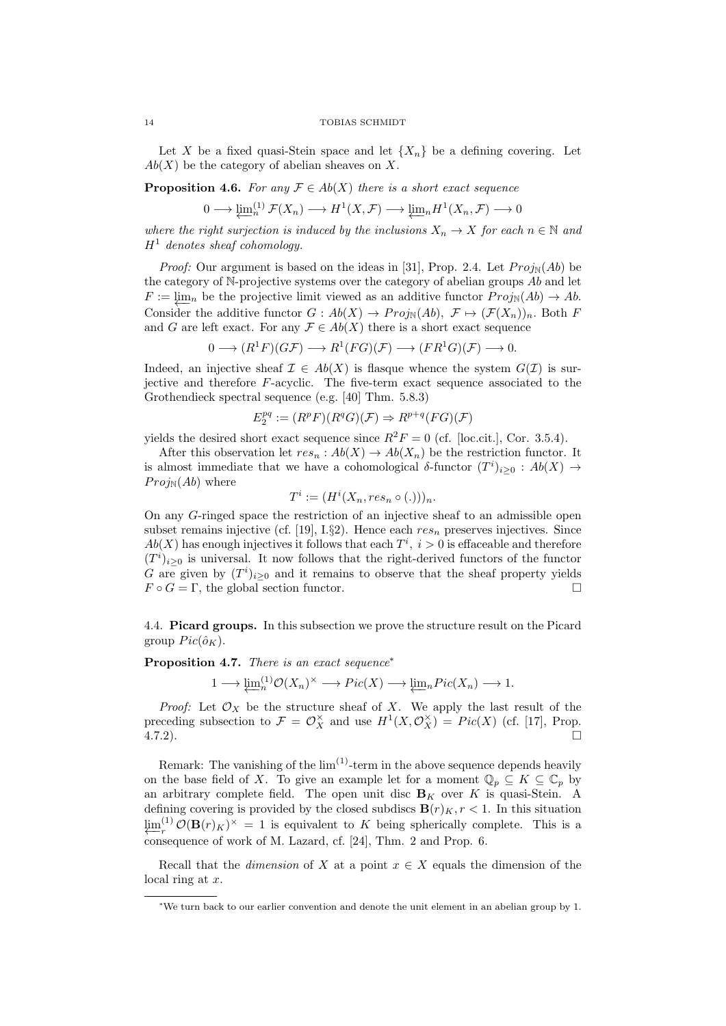Let X be a fixed quasi-Stein space and let  $\{X_n\}$  be a defining covering. Let  $Ab(X)$  be the category of abelian sheaves on X.

**Proposition 4.6.** For any  $\mathcal{F} \in Ab(X)$  there is a short exact sequence

$$
0 \longrightarrow \underleftarrow{\lim_{n}}^{(1)} \mathcal{F}(X_n) \longrightarrow H^1(X, \mathcal{F}) \longrightarrow \underleftarrow{\lim_{n}} H^1(X_n, \mathcal{F}) \longrightarrow 0
$$

where the right surjection is induced by the inclusions  $X_n \to X$  for each  $n \in \mathbb{N}$  and  $H<sup>1</sup>$  denotes sheaf cohomology.

*Proof:* Our argument is based on the ideas in [31], Prop. 2.4. Let  $Proj_{\mathbb{N}}(Ab)$  be the category of  $\mathbb{N}$ -projective systems over the category of abelian groups  $Ab$  and let  $F := \lim_{n \to \infty}$  be the projective limit viewed as an additive functor  $Proj_{\mathbb{N}}(Ab) \to Ab$ . Consider the additive functor  $G : Ab(X) \to Proj_{\mathbb{N}}(Ab), \mathcal{F} \mapsto (\mathcal{F}(X_n))_n$ . Both F and G are left exact. For any  $\mathcal{F} \in Ab(X)$  there is a short exact sequence

$$
0 \longrightarrow (R^1F)(G\mathcal{F}) \longrightarrow R^1(FG)(\mathcal{F}) \longrightarrow (FR^1G)(\mathcal{F}) \longrightarrow 0.
$$

Indeed, an injective sheaf  $\mathcal{I} \in Ab(X)$  is flasque whence the system  $G(\mathcal{I})$  is surjective and therefore F-acyclic. The five-term exact sequence associated to the Grothendieck spectral sequence (e.g. [40] Thm. 5.8.3)

$$
E_2^{pq} := (R^p F)(R^q G)(\mathcal{F}) \Rightarrow R^{p+q}(FG)(\mathcal{F})
$$

yields the desired short exact sequence since  $R^2F = 0$  (cf. [loc.cit.], Cor. 3.5.4).

After this observation let  $res_n : Ab(X) \to Ab(X_n)$  be the restriction functor. It is almost immediate that we have a cohomological  $\delta$ -functor  $(T^i)_{i\geq 0} : Ab(X) \to$  $Proj_{\mathbb{N}}(Ab)$  where

$$
T^i := (H^i(X_n, res_n \circ (.)))_n.
$$

On any G-ringed space the restriction of an injective sheaf to an admissible open subset remains injective (cf. [19], I.§2). Hence each  $res_n$  preserves injectives. Since  $Ab(X)$  has enough injectives it follows that each  $T^i$ ,  $i > 0$  is effaceable and therefore  $(T<sup>i</sup>)<sub>i≥0</sub>$  is universal. It now follows that the right-derived functors of the functor G are given by  $(T^i)_{i\geq 0}$  and it remains to observe that the sheaf property yields  $F \circ G = \Gamma$ , the global section functor.

4.4. Picard groups. In this subsection we prove the structure result on the Picard group  $Pic(\hat{o}_K)$ .

Proposition 4.7. There is an exact sequence<sup>∗</sup>

$$
1 \longrightarrow \varprojlim_n^{(1)} \mathcal{O}(X_n)^{\times} \longrightarrow Pic(X) \longrightarrow \varprojlim_n Pic(X_n) \longrightarrow 1.
$$

*Proof:* Let  $\mathcal{O}_X$  be the structure sheaf of X. We apply the last result of the preceding subsection to  $\mathcal{F} = \mathcal{O}_X^{\times}$  and use  $H^1(X, \mathcal{O}_X^{\times}) = Pic(X)$  (cf. [17], Prop.  $4.7.2$ ).

Remark: The vanishing of the  $\lim^{(1)}$ -term in the above sequence depends heavily on the base field of X. To give an example let for a moment  $\mathbb{Q}_p \subseteq K \subseteq \mathbb{C}_p$  by an arbitrary complete field. The open unit disc  $B_K$  over K is quasi-Stein. A defining covering is provided by the closed subdiscs  $\mathbf{B}(r)_K$ ,  $r < 1$ . In this situation  $\varprojlim_{r}^{(1)}$  $\int_r^{(1)} \mathcal{O}(\mathbf{B}(r)_K)^{\times} = 1$  is equivalent to K being spherically complete. This is a consequence of work of M. Lazard, cf. [24], Thm. 2 and Prop. 6.

Recall that the *dimension* of X at a point  $x \in X$  equals the dimension of the local ring at x.

<sup>∗</sup>We turn back to our earlier convention and denote the unit element in an abelian group by 1.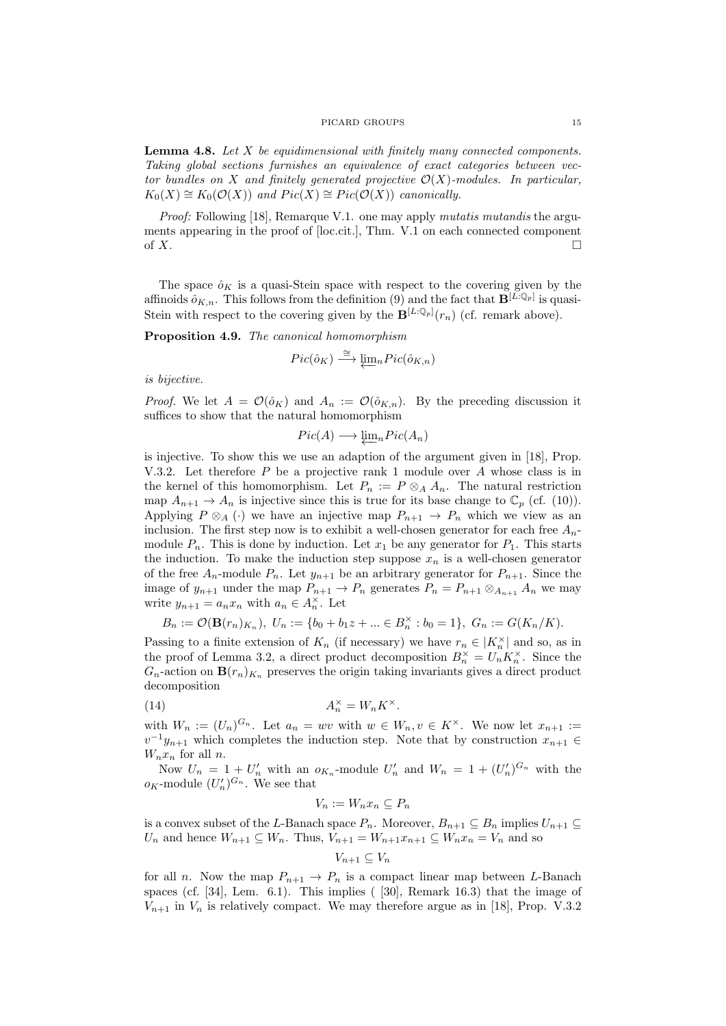**Lemma 4.8.** Let  $X$  be equidimensional with finitely many connected components. Taking global sections furnishes an equivalence of exact categories between vector bundles on X and finitely generated projective  $\mathcal{O}(X)$ -modules. In particular,  $K_0(X) \cong K_0(\mathcal{O}(X))$  and  $Pic(X) \cong Pic(\mathcal{O}(X))$  canonically.

Proof: Following [18], Remarque V.1. one may apply *mutatis mutandis* the arguments appearing in the proof of [loc.cit.], Thm. V.1 on each connected component of  $X$ .

The space  $\hat{o}_K$  is a quasi-Stein space with respect to the covering given by the affinoids  $\hat{o}_{K,n}$ . This follows from the definition (9) and the fact that  $\mathbf{B}^{[L:\mathbb{Q}_p]}$  is quasi-Stein with respect to the covering given by the  $\mathbf{B}^{[L:\mathbb{Q}_p]}(r_n)$  (cf. remark above).

Proposition 4.9. The canonical homomorphism

$$
Pic(\hat{o}_K) \xrightarrow{\cong} \underline{\lim}_n Pic(\hat{o}_{K,n})
$$

is bijective.

*Proof.* We let  $A = \mathcal{O}(\hat{o}_K)$  and  $A_n := \mathcal{O}(\hat{o}_{K,n})$ . By the preceding discussion it suffices to show that the natural homomorphism

$$
Pic(A) \longrightarrow \underleftarrow{\lim} {}_{n} Pic(A_{n})
$$

is injective. To show this we use an adaption of the argument given in [18], Prop. V.3.2. Let therefore  $P$  be a projective rank 1 module over  $A$  whose class is in the kernel of this homomorphism. Let  $P_n := P \otimes_A A_n$ . The natural restriction map  $A_{n+1} \to A_n$  is injective since this is true for its base change to  $\mathbb{C}_p$  (cf. (10)). Applying  $P \otimes_A (\cdot)$  we have an injective map  $P_{n+1} \to P_n$  which we view as an inclusion. The first step now is to exhibit a well-chosen generator for each free  $A_n$ . module  $P_n$ . This is done by induction. Let  $x_1$  be any generator for  $P_1$ . This starts the induction. To make the induction step suppose  $x_n$  is a well-chosen generator of the free  $A_n$ -module  $P_n$ . Let  $y_{n+1}$  be an arbitrary generator for  $P_{n+1}$ . Since the image of  $y_{n+1}$  under the map  $P_{n+1} \to P_n$  generates  $P_n = P_{n+1} \otimes_{A_{n+1}} A_n$  we may write  $y_{n+1} = a_n x_n$  with  $a_n \in A_n^{\times}$ . Let

$$
B_n := \mathcal{O}(\mathbf{B}(r_n)_{K_n}), \ U_n := \{b_0 + b_1 z + \dots \in B_n^{\times} : b_0 = 1\}, \ G_n := G(K_n/K).
$$

Passing to a finite extension of  $K_n$  (if necessary) we have  $r_n \in |K_n^{\times}|$  and so, as in the proof of Lemma 3.2, a direct product decomposition  $B_n^{\times} = U_n K_n^{\times}$ . Since the  $G_n$ -action on  $\mathbf{B}(r_n)_{K_n}$  preserves the origin taking invariants gives a direct product decomposition

(14) 
$$
A_n^{\times} = W_n K^{\times}.
$$

with  $W_n := (U_n)^{G_n}$ . Let  $a_n = wv$  with  $w \in W_n, v \in K^{\times}$ . We now let  $x_{n+1} :=$  $v^{-1}y_{n+1}$  which completes the induction step. Note that by construction  $x_{n+1} \in$  $W_n x_n$  for all n.

Now  $U_n = 1 + U'_n$  with an  $o_{K_n}$ -module  $U'_n$  and  $W_n = 1 + (U'_n)^{G_n}$  with the  $o_K$ -module  $(U'_n)^{G_n}$ . We see that

$$
V_n := W_n x_n \subseteq P_n
$$

is a convex subset of the L-Banach space  $P_n$ . Moreover,  $B_{n+1} \subseteq B_n$  implies  $U_{n+1} \subseteq$  $U_n$  and hence  $W_{n+1} \subseteq W_n$ . Thus,  $V_{n+1} = W_{n+1}x_{n+1} \subseteq W_nx_n = V_n$  and so

$$
V_{n+1} \subseteq V_n
$$

for all n. Now the map  $P_{n+1} \to P_n$  is a compact linear map between L-Banach spaces (cf. [34], Lem. 6.1). This implies ( [30], Remark 16.3) that the image of  $V_{n+1}$  in  $V_n$  is relatively compact. We may therefore argue as in [18], Prop. V.3.2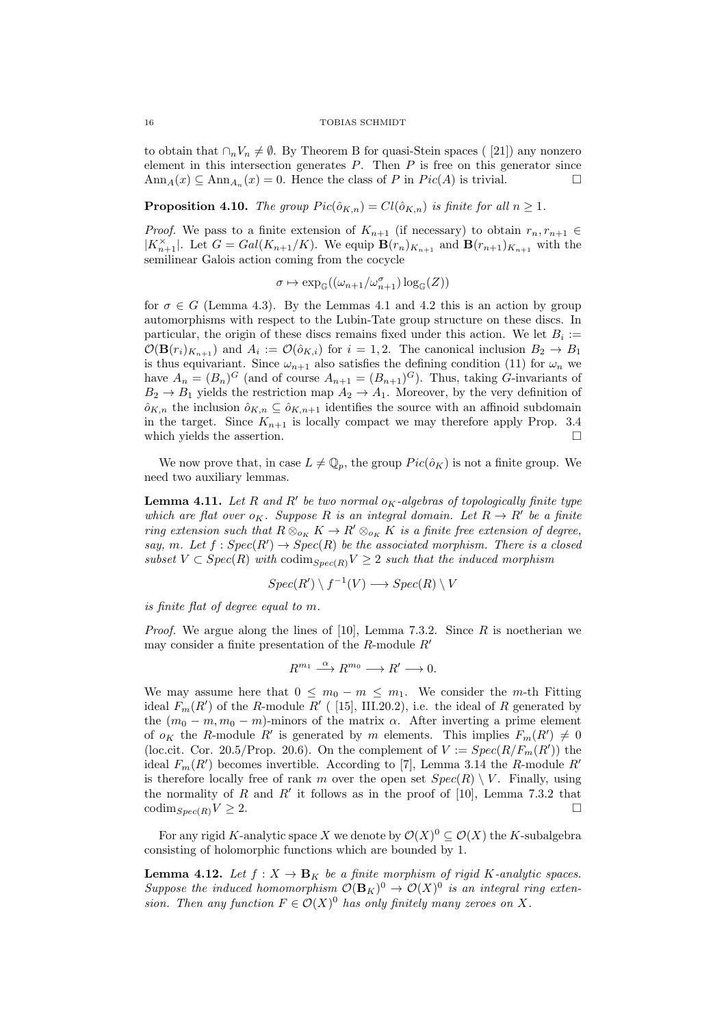to obtain that  $\cap_n V_n \neq \emptyset$ . By Theorem B for quasi-Stein spaces ([21]) any nonzero element in this intersection generates  $P$ . Then  $P$  is free on this generator since Ann<sub>A</sub> $(x) \subseteq \text{Ann}_{A_n}(x) = 0$ . Hence the class of P in  $Pic(A)$  is trivial.

**Proposition 4.10.** The group  $Pic(\hat{o}_{K,n}) = Cl(\hat{o}_{K,n})$  is finite for all  $n \geq 1$ .

*Proof.* We pass to a finite extension of  $K_{n+1}$  (if necessary) to obtain  $r_n, r_{n+1} \in$  $|K_{n+1}^{\times}|$ . Let  $G = Gal(K_{n+1}/K)$ . We equip  $\mathbf{B}(r_n)_{K_{n+1}}$  and  $\mathbf{B}(r_{n+1})_{K_{n+1}}$  with the semilinear Galois action coming from the cocycle

$$
\sigma \mapsto \exp_{\mathbb{G}}((\omega_{n+1}/\omega_{n+1}^{\sigma})\log_{\mathbb{G}}(Z))
$$

for  $\sigma \in G$  (Lemma 4.3). By the Lemmas 4.1 and 4.2 this is an action by group automorphisms with respect to the Lubin-Tate group structure on these discs. In particular, the origin of these discs remains fixed under this action. We let  $B_i :=$  $\mathcal{O}(\mathbf{B}(r_i)_{K_{n+1}})$  and  $A_i := \mathcal{O}(\hat{o}_{K,i})$  for  $i = 1, 2$ . The canonical inclusion  $B_2 \to B_1$ is thus equivariant. Since  $\omega_{n+1}$  also satisfies the defining condition (11) for  $\omega_n$  we have  $A_n = (B_n)^G$  (and of course  $A_{n+1} = (B_{n+1})^G$ ). Thus, taking *G*-invariants of  $B_2 \rightarrow B_1$  yields the restriction map  $A_2 \rightarrow A_1$ . Moreover, by the very definition of  $\hat{o}_{K,n}$  the inclusion  $\hat{o}_{K,n} \subseteq \hat{o}_{K,n+1}$  identifies the source with an affinoid subdomain in the target. Since  $K_{n+1}$  is locally compact we may therefore apply Prop. 3.4 which yields the assertion.

We now prove that, in case  $L \neq \mathbb{Q}_p$ , the group  $Pic(\hat{o}_K)$  is not a finite group. We need two auxiliary lemmas.

**Lemma 4.11.** Let R and R' be two normal  $o<sub>K</sub>$ -algebras of topologically finite type which are flat over  $o_K$ . Suppose R is an integral domain. Let  $R \to R'$  be a finite ring extension such that  $R \otimes_{o_K} K \to R' \otimes_{o_K} K$  is a finite free extension of degree, say, m. Let  $f: Spec(R') \rightarrow Spec(R)$  be the associated morphism. There is a closed subset  $V \subset Spec(R)$  with  $codim_{Spec(R)} V \geq 2$  such that the induced morphism

$$
Spec(R') \setminus f^{-1}(V) \longrightarrow Spec(R) \setminus V
$$

is finite flat of degree equal to m.

*Proof.* We argue along the lines of [10], Lemma 7.3.2. Since  $R$  is noetherian we may consider a finite presentation of the  $R$ -module  $R'$ 

$$
R^{m_1} \xrightarrow{\alpha} R^{m_0} \longrightarrow R' \longrightarrow 0.
$$

We may assume here that  $0 \leq m_0 - m \leq m_1$ . We consider the *m*-th Fitting ideal  $F_m(R')$  of the R-module  $R'$  ([15], III.20.2), i.e. the ideal of R generated by the  $(m_0 - m, m_0 - m)$ -minors of the matrix  $\alpha$ . After inverting a prime element of  $o_K$  the R-module R' is generated by m elements. This implies  $F_m(R') \neq 0$ (loc.cit. Cor. 20.5/Prop. 20.6). On the complement of  $V := Spec(R/F_m(R'))$  the ideal  $F_m(R')$  becomes invertible. According to [7], Lemma 3.14 the R-module  $R'$ is therefore locally free of rank m over the open set  $Spec(R) \setminus V$ . Finally, using the normality of R and R' it follows as in the proof of [10], Lemma 7.3.2 that  $\operatorname{codim}_{Spec(R)} V \geq 2.$ 

For any rigid K-analytic space X we denote by  $\mathcal{O}(X)^0 \subseteq \mathcal{O}(X)$  the K-subalgebra consisting of holomorphic functions which are bounded by 1.

**Lemma 4.12.** Let  $f: X \to \mathbf{B}_K$  be a finite morphism of rigid K-analytic spaces. Suppose the induced homomorphism  $\mathcal{O}(\mathbf{B}_K)^0 \to \mathcal{O}(X)^0$  is an integral ring extension. Then any function  $F \in \mathcal{O}(X)^0$  has only finitely many zeroes on X.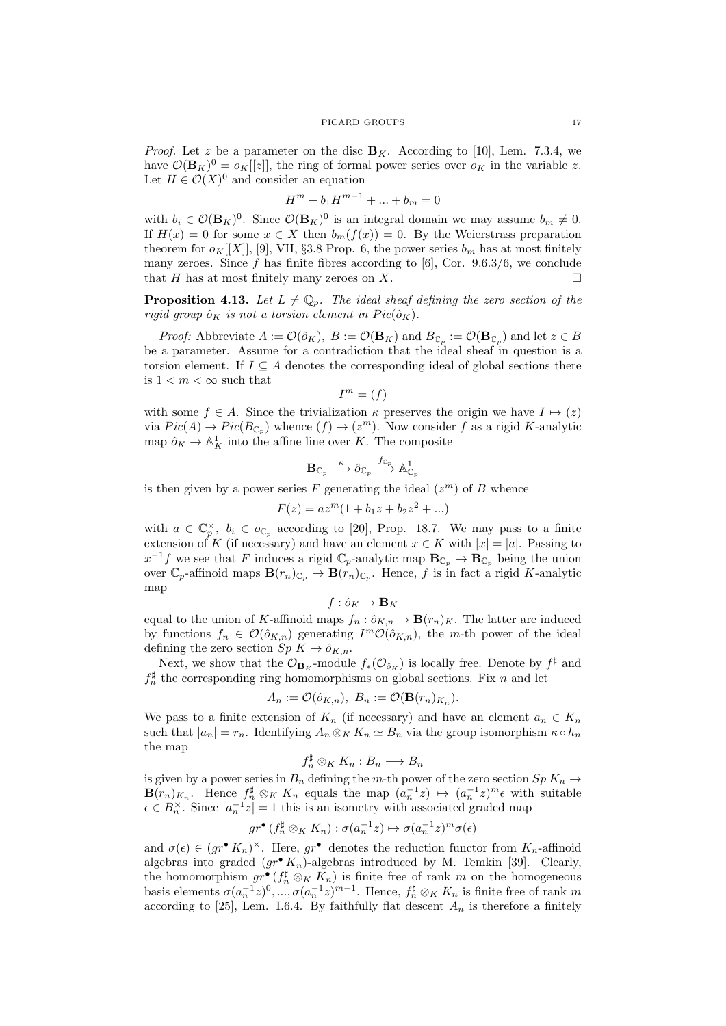*Proof.* Let z be a parameter on the disc  $B_K$ . According to [10], Lem. 7.3.4, we have  $\mathcal{O}(\mathbf{B}_K)^0 = o_K[[z]]$ , the ring of formal power series over  $o_K$  in the variable z. Let  $H \in \mathcal{O}(X)^0$  and consider an equation

$$
H^m + b_1 H^{m-1} + \dots + b_m = 0
$$

with  $b_i \in \mathcal{O}(\mathbf{B}_K)^0$ . Since  $\mathcal{O}(\mathbf{B}_K)^0$  is an integral domain we may assume  $b_m \neq 0$ . If  $H(x) = 0$  for some  $x \in X$  then  $b_m(f(x)) = 0$ . By the Weierstrass preparation theorem for  $o_K[[X]], [9], VII, §3.8$  Prop. 6, the power series  $b_m$  has at most finitely many zeroes. Since f has finite fibres according to [6], Cor.  $9.6.3/6$ , we conclude that H has at most finitely many zeroes on X.  $\Box$ 

**Proposition 4.13.** Let  $L \neq \mathbb{Q}_p$ . The ideal sheaf defining the zero section of the rigid group  $\hat{o}_K$  is not a torsion element in  $Pic(\hat{o}_K)$ .

*Proof:* Abbreviate  $A := \mathcal{O}(\hat{o}_K)$ ,  $B := \mathcal{O}(\mathbf{B}_K)$  and  $B_{\mathbb{C}_p} := \mathcal{O}(\mathbf{B}_{\mathbb{C}_p})$  and let  $z \in B$ be a parameter. Assume for a contradiction that the ideal sheaf in question is a torsion element. If  $I \subseteq A$  denotes the corresponding ideal of global sections there is  $1 < m < \infty$  such that

$$
I^m = (f)
$$

with some  $f \in A$ . Since the trivialization  $\kappa$  preserves the origin we have  $I \mapsto (z)$ via  $Pic(A) \to Pic(B_{\mathbb{C}_p})$  whence  $(f) \mapsto (z^m)$ . Now consider f as a rigid K-analytic map  $\hat{o}_K \to \mathbb{A}^1_K$  into the affine line over K. The composite

$$
{\bf B}_{{\mathbb C}_p}\stackrel{\kappa}{\longrightarrow} \hat{o}_{{\mathbb C}_p}\stackrel{f_{{\mathbb C}_p}}{\longrightarrow} {\mathbb A}^1_{{\mathbb C}_p}
$$

is then given by a power series F generating the ideal  $(z<sup>m</sup>)$  of B whence

$$
F(z) = az^m(1 + b_1z + b_2z^2 + \dots)
$$

with  $a \in \mathbb{C}_p^{\times}$ ,  $b_i \in o_{\mathbb{C}_p}$  according to [20], Prop. 18.7. We may pass to a finite extension of K (if necessary) and have an element  $x \in K$  with  $|x| = |a|$ . Passing to  $x^{-1}f$  we see that F induces a rigid  $\mathbb{C}_p$ -analytic map  $\mathbf{B}_{\mathbb{C}_p} \to \mathbf{B}_{\mathbb{C}_p}$  being the union over  $\mathbb{C}_p$ -affinoid maps  $\mathbf{B}(r_n)_{\mathbb{C}_p} \to \mathbf{B}(r_n)_{\mathbb{C}_p}$ . Hence, f is in fact a rigid K-analytic map

$$
f: \hat{o}_K \to \mathbf{B}_K
$$

equal to the union of K-affinoid maps  $f_n : \hat{o}_{K,n} \to \mathbf{B}(r_n)_K$ . The latter are induced by functions  $f_n \in \mathcal{O}(\hat{o}_{K,n})$  generating  $I^m \mathcal{O}(\hat{o}_{K,n})$ , the m-th power of the ideal defining the zero section  $Sp K \to \hat{o}_{K,n}$ .

Next, we show that the  $\mathcal{O}_{\mathbf{B}_K}$ -module  $f_*(\mathcal{O}_{\hat{o}_K})$  is locally free. Denote by  $f^{\sharp}$  and  $f_n^{\sharp}$  the corresponding ring homomorphisms on global sections. Fix n and let

$$
A_n := \mathcal{O}(\hat{o}_{K,n}), \ B_n := \mathcal{O}(\mathbf{B}(r_n)_{K_n}).
$$

We pass to a finite extension of  $K_n$  (if necessary) and have an element  $a_n \in K_n$ such that  $|a_n| = r_n$ . Identifying  $A_n \otimes_K K_n \simeq B_n$  via the group isomorphism  $\kappa \circ h_n$ the map

$$
f_n^{\sharp} \otimes_K K_n : B_n \longrightarrow B_n
$$

is given by a power series in  $B_n$  defining the m-th power of the zero section  $Sp\,K_n\to$  $\mathbf{B}(r_n)_{K_n}$ . Hence  $f_n^{\sharp} \otimes_K K_n$  equals the map  $(a_n^{-1}z) \mapsto (a_n^{-1}z)^m \epsilon$  with suitable  $\epsilon \in B_n^{\times}$ . Since  $|a_n^{-1}z|=1$  this is an isometry with associated graded map

$$
gr^{\bullet}(f_n^{\sharp}\otimes_K K_n):\sigma(a_n^{-1}z)\mapsto \sigma(a_n^{-1}z)^m\sigma(\epsilon)
$$

and  $\sigma(\epsilon) \in (gr^{\bullet} K_n)^{\times}$ . Here,  $gr^{\bullet}$  denotes the reduction functor from  $K_n$ -affinoid algebras into graded  $(gr^{\bullet} K_n)$ -algebras introduced by M. Temkin [39]. Clearly, the homomorphism  $gr^{\bullet}(f_n^{\sharp} \otimes_K K_n)$  is finite free of rank m on the homogeneous basis elements  $\sigma(a_n^{-1}z)^0, ..., \sigma(a_n^{-1}z)^{m-1}$ . Hence,  $f_n^{\sharp} \otimes_K K_n$  is finite free of rank m according to [25], Lem. I.6.4. By faithfully flat descent  $A_n$  is therefore a finitely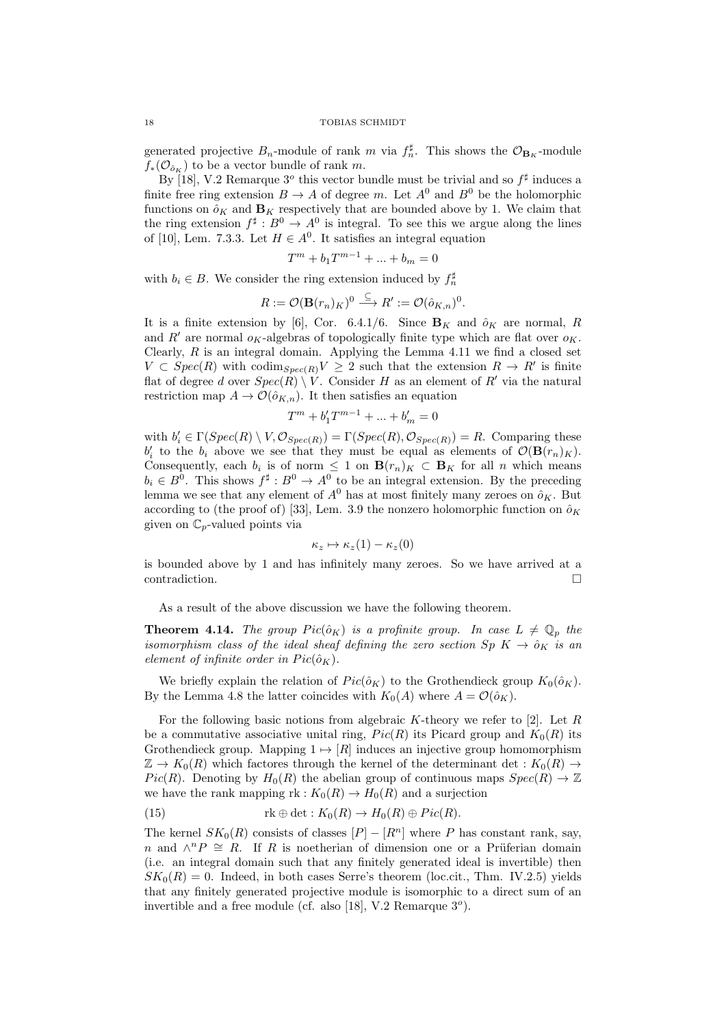generated projective  $B_n$ -module of rank m via  $f_n^{\sharp}$ . This shows the  $\mathcal{O}_{B_K}$ -module  $f_*(\mathcal{O}_{\hat{o}_K})$  to be a vector bundle of rank m.

By [18], V.2 Remarque  $3^{\circ}$  this vector bundle must be trivial and so  $f^{\sharp}$  induces a finite free ring extension  $B \to A$  of degree m. Let  $A^0$  and  $B^0$  be the holomorphic functions on  $\hat{\rho}_K$  and  $\mathbf{B}_K$  respectively that are bounded above by 1. We claim that the ring extension  $f^{\sharp}: B^0 \to A^0$  is integral. To see this we argue along the lines of [10], Lem. 7.3.3. Let  $H \in A^0$ . It satisfies an integral equation

$$
T^m + b_1 T^{m-1} + \dots + b_m = 0
$$

with  $b_i \in B$ . We consider the ring extension induced by  $f_n^{\sharp}$ 

$$
R := \mathcal{O}(\mathbf{B}(r_n)_K)^0 \stackrel{\subseteq}{\longrightarrow} R' := \mathcal{O}(\hat{o}_{K,n})^0.
$$

It is a finite extension by [6], Cor. 6.4.1/6. Since  $\mathbf{B}_K$  and  $\hat{o}_K$  are normal, R and R' are normal  $o<sub>K</sub>$ -algebras of topologically finite type which are flat over  $o<sub>K</sub>$ . Clearly,  $R$  is an integral domain. Applying the Lemma 4.11 we find a closed set  $V \subset Spec(R)$  with  $codim_{Spec(R)} V \geq 2$  such that the extension  $R \to R'$  is finite flat of degree d over  $Spec(\overline{R}) \setminus V$ . Consider H as an element of R' via the natural restriction map  $A \to \mathcal{O}(\hat{o}_{K,n})$ . It then satisfies an equation

$$
T^m + b'_1 T^{m-1} + \ldots + b'_m = 0
$$

with  $b_i' \in \Gamma(Spec(R) \setminus V, \mathcal{O}_{Spec(R)}) = \Gamma(Spec(R), \mathcal{O}_{Spec(R)}) = R$ . Comparing these  $b_i'$  to the  $b_i$  above we see that they must be equal as elements of  $\mathcal{O}(\mathbf{B}(r_n)_K)$ . Consequently, each  $b_i$  is of norm  $\leq 1$  on  $\mathbf{B}(r_n)_K \subset \mathbf{B}_K$  for all n which means  $b_i \in B^0$ . This shows  $f^{\sharp}: B^0 \to A^0$  to be an integral extension. By the preceding lemma we see that any element of  $A^0$  has at most finitely many zeroes on  $\hat{\rho}_K$ . But according to (the proof of) [33], Lem. 3.9 the nonzero holomorphic function on  $\hat{\rho}_K$ given on  $\mathbb{C}_p$ -valued points via

$$
\kappa_z \mapsto \kappa_z(1) - \kappa_z(0)
$$

is bounded above by 1 and has infinitely many zeroes. So we have arrived at a contradiction.

As a result of the above discussion we have the following theorem.

**Theorem 4.14.** The group  $Pic(\hat{o}_K)$  is a profinite group. In case  $L \neq \mathbb{Q}_p$  the isomorphism class of the ideal sheaf defining the zero section  $Sp\ K\to{\hat{o}}_K$  is an element of infinite order in  $Pic(\hat{o}_K)$ .

We briefly explain the relation of  $Pic(\hat{o}_K)$  to the Grothendieck group  $K_0(\hat{o}_K)$ . By the Lemma 4.8 the latter coincides with  $K_0(A)$  where  $A = \mathcal{O}(\hat{o}_K)$ .

For the following basic notions from algebraic  $K$ -theory we refer to [2]. Let  $R$ be a commutative associative unital ring,  $Pic(R)$  its Picard group and  $K_0(R)$  its Grothendieck group. Mapping  $1 \mapsto [R]$  induces an injective group homomorphism  $\mathbb{Z} \to K_0(R)$  which factores through the kernel of the determinant det :  $K_0(R) \to$ Pic(R). Denoting by  $H_0(R)$  the abelian group of continuous maps  $Spec(R) \to \mathbb{Z}$ we have the rank mapping  $\text{rk}: K_0(R) \to H_0(R)$  and a surjection

(15) 
$$
\text{rk} \oplus \text{det} : K_0(R) \to H_0(R) \oplus Pic(R).
$$

The kernel  $SK_0(R)$  consists of classes  $[P] - [R^n]$  where P has constant rank, say, n and  $\wedge^n P \cong R$ . If R is noetherian of dimension one or a Prüferian domain (i.e. an integral domain such that any finitely generated ideal is invertible) then  $SK_0(R) = 0$ . Indeed, in both cases Serre's theorem (loc.cit., Thm. IV.2.5) yields that any finitely generated projective module is isomorphic to a direct sum of an invertible and a free module (cf. also [18], V.2 Remarque  $3^o$ ).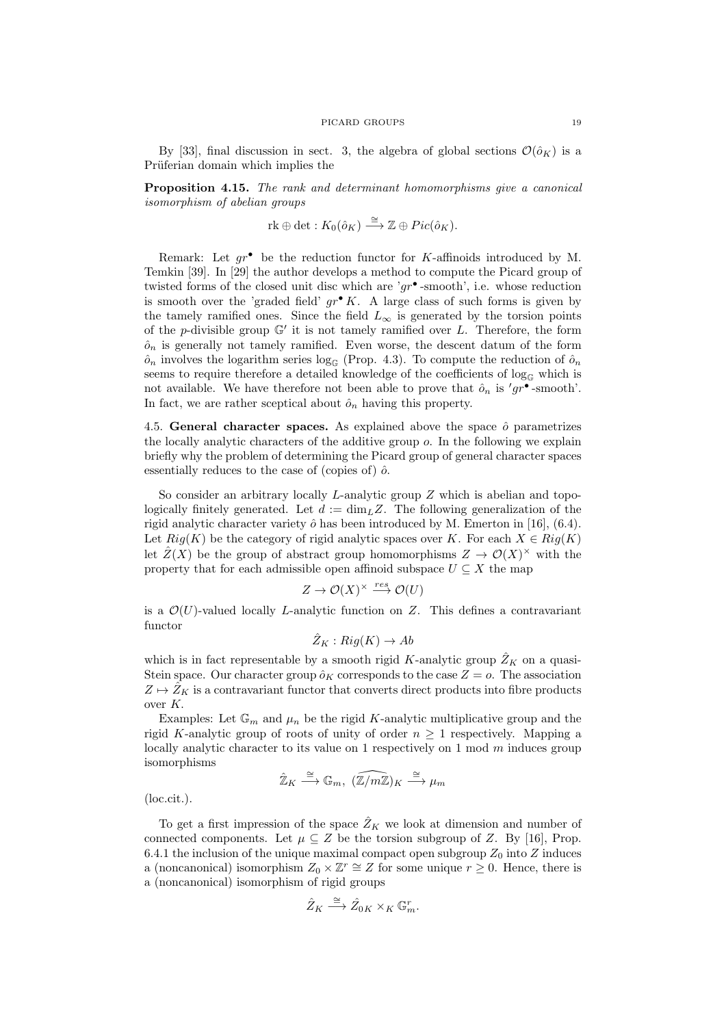By [33], final discussion in sect. 3, the algebra of global sections  $\mathcal{O}(\hat{o}_K)$  is a Prüferian domain which implies the

Proposition 4.15. The rank and determinant homomorphisms give a canonical isomorphism of abelian groups

$$
rk \oplus det : K_0(\hat{o}_K) \stackrel{\cong}{\longrightarrow} \mathbb{Z} \oplus Pic(\hat{o}_K).
$$

Remark: Let  $gr^{\bullet}$  be the reduction functor for K-affinoids introduced by M. Temkin [39]. In [29] the author develops a method to compute the Picard group of twisted forms of the closed unit disc which are ' $gr^{\bullet}$ -smooth', i.e. whose reduction is smooth over the 'graded field'  $gr^{\bullet} K$ . A large class of such forms is given by the tamely ramified ones. Since the field  $L_{\infty}$  is generated by the torsion points of the p-divisible group  $\mathbb{G}'$  it is not tamely ramified over L. Therefore, the form  $\hat{o}_n$  is generally not tamely ramified. Even worse, the descent datum of the form  $\hat{o}_n$  involves the logarithm series log<sub>G</sub> (Prop. 4.3). To compute the reduction of  $\hat{o}_n$ seems to require therefore a detailed knowledge of the coefficients of  $\log_{\mathbb{G}}$  which is not available. We have therefore not been able to prove that  $\hat{o}_n$  is ' $gr^{\bullet}$ -smooth'. In fact, we are rather sceptical about  $\hat{o}_n$  having this property.

4.5. General character spaces. As explained above the space  $\hat{o}$  parametrizes the locally analytic characters of the additive group o. In the following we explain briefly why the problem of determining the Picard group of general character spaces essentially reduces to the case of (copies of)  $\hat{o}$ .

So consider an arbitrary locally L-analytic group Z which is abelian and topologically finitely generated. Let  $d := \dim_L Z$ . The following generalization of the rigid analytic character variety  $\hat{o}$  has been introduced by M. Emerton in [16], (6.4). Let  $Rig(K)$  be the category of rigid analytic spaces over K. For each  $X \in Rig(K)$ let  $\hat{Z}(X)$  be the group of abstract group homomorphisms  $Z \to \mathcal{O}(X)^\times$  with the property that for each admissible open affinoid subspace  $U \subseteq X$  the map

$$
Z \to \mathcal{O}(X)^\times \xrightarrow{res} \mathcal{O}(U)
$$

is a  $\mathcal{O}(U)$ -valued locally *L*-analytic function on Z. This defines a contravariant functor

$$
\hat{Z}_K: \mathop{\mathrm{Rig}}\nolimits(K) \to \mathop{\mathrm{Ab}}\nolimits
$$

which is in fact representable by a smooth rigid K-analytic group  $\hat{Z}_K$  on a quasi-Stein space. Our character group  $\hat{o}_K$  corresponds to the case  $Z = o$ . The association  $Z \mapsto \hat{Z}_K$  is a contravariant functor that converts direct products into fibre products over K.

Examples: Let  $\mathbb{G}_m$  and  $\mu_n$  be the rigid K-analytic multiplicative group and the rigid K-analytic group of roots of unity of order  $n \geq 1$  respectively. Mapping a locally analytic character to its value on 1 respectively on 1 mod  $m$  induces group isomorphisms

$$
\hat{\mathbb{Z}}_K \stackrel{\cong}{\longrightarrow} \mathbb{G}_m, \ \widehat{(\mathbb{Z}/m\mathbb{Z})}_K \stackrel{\cong}{\longrightarrow} \mu_m
$$

(loc.cit.).

To get a first impression of the space  $\hat{Z}_K$  we look at dimension and number of connected components. Let  $\mu \subseteq Z$  be the torsion subgroup of Z. By [16], Prop. 6.4.1 the inclusion of the unique maximal compact open subgroup  $Z_0$  into Z induces a (noncanonical) isomorphism  $Z_0 \times \mathbb{Z}^r \cong Z$  for some unique  $r \geq 0$ . Hence, there is a (noncanonical) isomorphism of rigid groups

$$
\hat{Z}_K \stackrel{\cong}{\longrightarrow} \hat{Z}_{0K} \times_K \mathbb{G}_m^r.
$$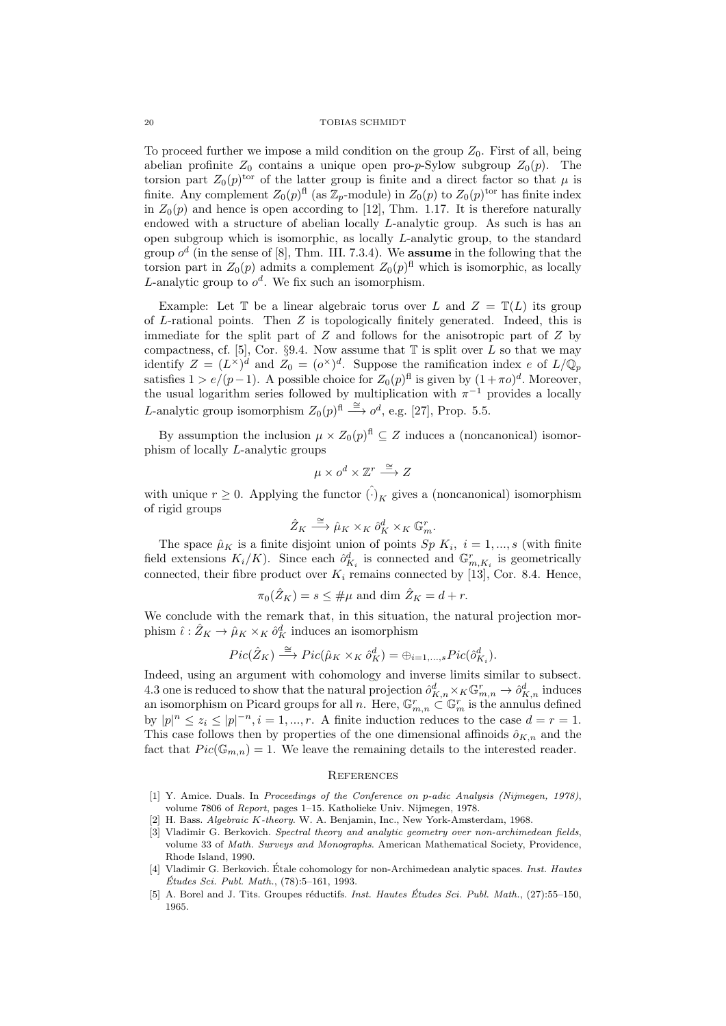To proceed further we impose a mild condition on the group  $Z_0$ . First of all, being abelian profinite  $Z_0$  contains a unique open pro-p-Sylow subgroup  $Z_0(p)$ . The torsion part  $Z_0(p)$ <sup>tor</sup> of the latter group is finite and a direct factor so that  $\mu$  is finite. Any complement  $Z_0(p)^{\text{fl}}$  (as  $\mathbb{Z}_p$ -module) in  $Z_0(p)$  to  $Z_0(p)^{\text{tor}}$  has finite index in  $Z_0(p)$  and hence is open according to [12], Thm. 1.17. It is therefore naturally endowed with a structure of abelian locally L-analytic group. As such is has an open subgroup which is isomorphic, as locally L-analytic group, to the standard group  $o^d$  (in the sense of [8], Thm. III. 7.3.4). We **assume** in the following that the torsion part in  $Z_0(p)$  admits a complement  $Z_0(p)^{\text{fl}}$  which is isomorphic, as locally L-analytic group to  $o^d$ . We fix such an isomorphism.

Example: Let  $\mathbb T$  be a linear algebraic torus over L and  $Z = \mathbb T(L)$  its group of L-rational points. Then  $Z$  is topologically finitely generated. Indeed, this is immediate for the split part of  $Z$  and follows for the anisotropic part of  $Z$  by compactness, cf. [5], Cor. §9.4. Now assume that  $\mathbb T$  is split over L so that we may identify  $Z = (L^{\times})^d$  and  $Z_0 = (\rho^{\times})^d$ . Suppose the ramification index e of  $L/\mathbb{Q}_p$ satisfies  $1 > e/(p-1)$ . A possible choice for  $Z_0(p)^{\text{fl}}$  is given by  $(1+\pi o)^d$ . Moreover, the usual logarithm series followed by multiplication with  $\pi^{-1}$  provides a locally *L*-analytic group isomorphism  $Z_0(p)^{\text{fl}} \stackrel{\cong}{\longrightarrow} o^d$ , e.g. [27], Prop. 5.5.

By assumption the inclusion  $\mu \times Z_0(p)^{\text{fl}} \subseteq Z$  induces a (noncanonical) isomorphism of locally L-analytic groups

$$
\mu \times o^d \times \mathbb{Z}^r \stackrel{\cong}{\longrightarrow} Z
$$

with unique  $r \geq 0$ . Applying the functor  $\hat{(\cdot)}_K$  gives a (noncanonical) isomorphism of rigid groups

$$
\hat{Z}_K \stackrel{\cong}{\longrightarrow} \hat{\mu}_K \times_K \hat{o}_K^d \times_K \mathbb{G}_m^r.
$$

The space  $\hat{\mu}_K$  is a finite disjoint union of points  $Sp K_i$ ,  $i = 1, ..., s$  (with finite field extensions  $K_i/K$ ). Since each  $\hat{\sigma}_{K_i}^d$  is connected and  $\mathbb{G}_{m,K_i}^r$  is geometrically connected, their fibre product over  $K_i$  remains connected by [13], Cor. 8.4. Hence,

$$
\pi_0(\hat{Z}_K) = s \le \# \mu \text{ and dim } \hat{Z}_K = d + r.
$$

We conclude with the remark that, in this situation, the natural projection morphism  $\hat{\iota}: \hat{Z}_K \to \hat{\mu}_K \times_K \hat{o}_K^d$  induces an isomorphism

$$
Pic(\hat{Z}_K)\stackrel{\cong}{\longrightarrow} Pic(\hat{\mu}_K\times_K\hat{o}_K^d)=\oplus_{i=1,...,s}Pic(\hat{o}_{K_i}^d).
$$

Indeed, using an argument with cohomology and inverse limits similar to subsect. 4.3 one is reduced to show that the natural projection  $\hat{o}_{K,n}^d \times_K \mathbb{G}_{m,n}^r \to \hat{o}_{K,n}^d$  induces an isomorphism on Picard groups for all n. Here,  $\mathbb{G}_{m,n}^r \subset \mathbb{G}_m^r$  is the annulus defined by  $|p|^n \leq z_i \leq |p|^{-n}, i = 1, ..., r$ . A finite induction reduces to the case  $d = r = 1$ . This case follows then by properties of the one dimensional affinoids  $\hat{\sigma}_{K,n}$  and the fact that  $Pic(\mathbb{G}_{m,n}) = 1$ . We leave the remaining details to the interested reader.

#### **REFERENCES**

- [1] Y. Amice. Duals. In Proceedings of the Conference on p-adic Analysis (Nijmegen, 1978), volume 7806 of Report, pages 1–15. Katholieke Univ. Nijmegen, 1978.
- H. Bass. Algebraic K-theory. W. A. Benjamin, Inc., New York-Amsterdam, 1968.
- [3] Vladimir G. Berkovich. Spectral theory and analytic geometry over non-archimedean fields, volume 33 of Math. Surveys and Monographs. American Mathematical Society, Providence, Rhode Island, 1990.
- [4] Vladimir G. Berkovich. Étale cohomology for non-Archimedean analytic spaces. Inst. Hautes  $\acute{E}tudes$  Sci. Publ. Math.,  $(78):5-161, 1993$ .
- [5] A. Borel and J. Tits. Groupes réductifs. Inst. Hautes Études Sci. Publ. Math., (27):55–150, 1965.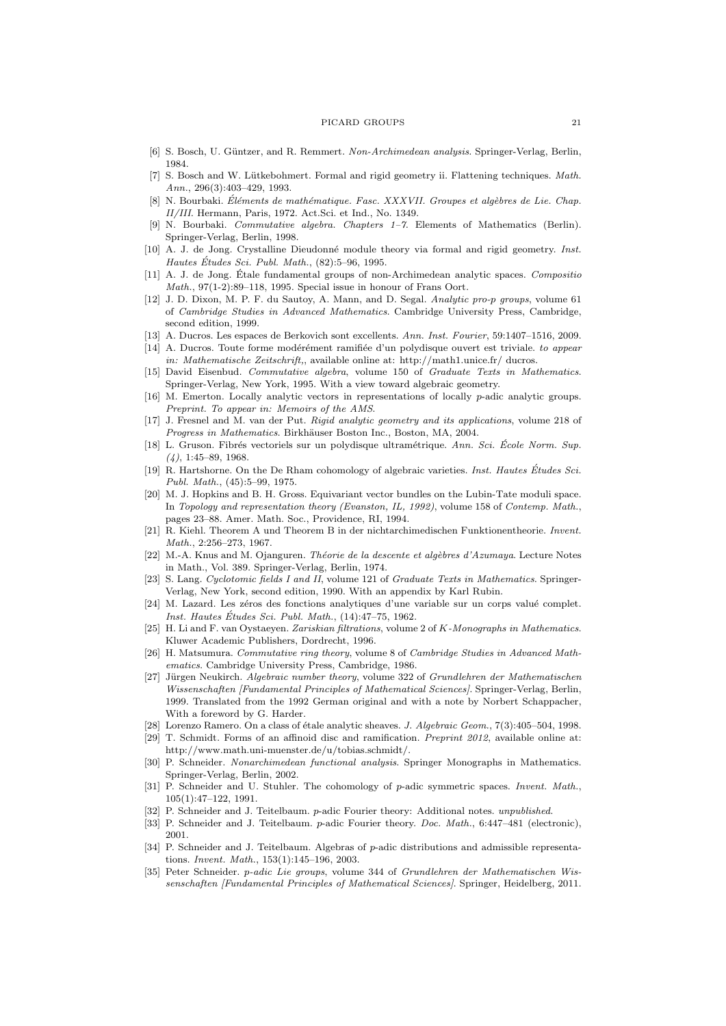- [6] S. Bosch, U. Güntzer, and R. Remmert. Non-Archimedean analysis. Springer-Verlag, Berlin, 1984.
- [7] S. Bosch and W. Lütkebohmert. Formal and rigid geometry ii. Flattening techniques. Math.  $Ann. 296(3): 403-429. 1993.$
- [8] N. Bourbaki. Éléments de mathématique. Fasc. XXXVII. Groupes et algèbres de Lie. Chap. II/III. Hermann, Paris, 1972. Act.Sci. et Ind., No. 1349.
- N. Bourbaki. Commutative algebra. Chapters 1–7. Elements of Mathematics (Berlin). Springer-Verlag, Berlin, 1998.
- [10] A. J. de Jong. Crystalline Dieudonné module theory via formal and rigid geometry. Inst. Hautes Études Sci. Publ. Math.,  $(82):5-96, 1995$ .
- [11] A. J. de Jong. Étale fundamental groups of non-Archimedean analytic spaces. Compositio Math., 97(1-2):89–118, 1995. Special issue in honour of Frans Oort.
- [12] J. D. Dixon, M. P. F. du Sautoy, A. Mann, and D. Segal. Analytic pro-p groups, volume 61 of Cambridge Studies in Advanced Mathematics. Cambridge University Press, Cambridge, second edition, 1999.
- [13] A. Ducros. Les espaces de Berkovich sont excellents. Ann. Inst. Fourier, 59:1407–1516, 2009.
- [14] A. Ducros. Toute forme modérément ramifiée d'un polydisque ouvert est triviale. to appear in: Mathematische Zeitschrift,, available online at: http://math1.unice.fr/ ducros.
- [15] David Eisenbud. Commutative algebra, volume 150 of Graduate Texts in Mathematics. Springer-Verlag, New York, 1995. With a view toward algebraic geometry.
- [16] M. Emerton. Locally analytic vectors in representations of locally p-adic analytic groups. Preprint. To appear in: Memoirs of the AMS.
- [17] J. Fresnel and M. van der Put. Rigid analytic geometry and its applications, volume 218 of Progress in Mathematics. Birkhäuser Boston Inc., Boston, MA, 2004.
- [18] L. Gruson. Fibrés vectoriels sur un polydisque ultramétrique. Ann. Sci. École Norm. Sup.  $(4)$ , 1:45–89, 1968.
- [19] R. Hartshorne. On the De Rham cohomology of algebraic varieties. Inst. Hautes Études Sci. Publ. Math., (45):5–99, 1975.
- [20] M. J. Hopkins and B. H. Gross. Equivariant vector bundles on the Lubin-Tate moduli space. In Topology and representation theory (Evanston, IL, 1992), volume 158 of Contemp. Math., pages 23–88. Amer. Math. Soc., Providence, RI, 1994.
- [21] R. Kiehl. Theorem A und Theorem B in der nichtarchimedischen Funktionentheorie. Invent. Math., 2:256–273, 1967.
- [22] M.-A. Knus and M. Ojanguren. Théorie de la descente et algèbres d'Azumaya. Lecture Notes in Math., Vol. 389. Springer-Verlag, Berlin, 1974.
- [23] S. Lang. Cyclotomic fields I and II, volume 121 of Graduate Texts in Mathematics. Springer-Verlag, New York, second edition, 1990. With an appendix by Karl Rubin.
- [24] M. Lazard. Les zéros des fonctions analytiques d'une variable sur un corps valué complet. Inst. Hautes Études Sci. Publ. Math.,  $(14):47-75$ , 1962.
- [25] H. Li and F. van Oystaeyen. Zariskian filtrations, volume 2 of K-Monographs in Mathematics. Kluwer Academic Publishers, Dordrecht, 1996.
- [26] H. Matsumura. Commutative ring theory, volume 8 of Cambridge Studies in Advanced Mathematics. Cambridge University Press, Cambridge, 1986.
- [27] Jürgen Neukirch. Algebraic number theory, volume 322 of Grundlehren der Mathematischen Wissenschaften [Fundamental Principles of Mathematical Sciences]. Springer-Verlag, Berlin, 1999. Translated from the 1992 German original and with a note by Norbert Schappacher, With a foreword by G. Harder.
- [28] Lorenzo Ramero. On a class of étale analytic sheaves. J. Algebraic Geom., 7(3):405–504, 1998.
- [29] T. Schmidt. Forms of an affinoid disc and ramification. Preprint 2012, available online at: http://www.math.uni-muenster.de/u/tobias.schmidt/.
- [30] P. Schneider. Nonarchimedean functional analysis. Springer Monographs in Mathematics. Springer-Verlag, Berlin, 2002.
- [31] P. Schneider and U. Stuhler. The cohomology of p-adic symmetric spaces. *Invent. Math.*, 105(1):47–122, 1991.
- [32] P. Schneider and J. Teitelbaum. p-adic Fourier theory: Additional notes. *unpublished.*
- [33] P. Schneider and J. Teitelbaum. p-adic Fourier theory. Doc. Math., 6:447-481 (electronic). 2001.
- [34] P. Schneider and J. Teitelbaum. Algebras of p-adic distributions and admissible representations. Invent. Math., 153(1):145–196, 2003.
- [35] Peter Schneider. p-adic Lie groups, volume 344 of Grundlehren der Mathematischen Wissenschaften [Fundamental Principles of Mathematical Sciences]. Springer, Heidelberg, 2011.